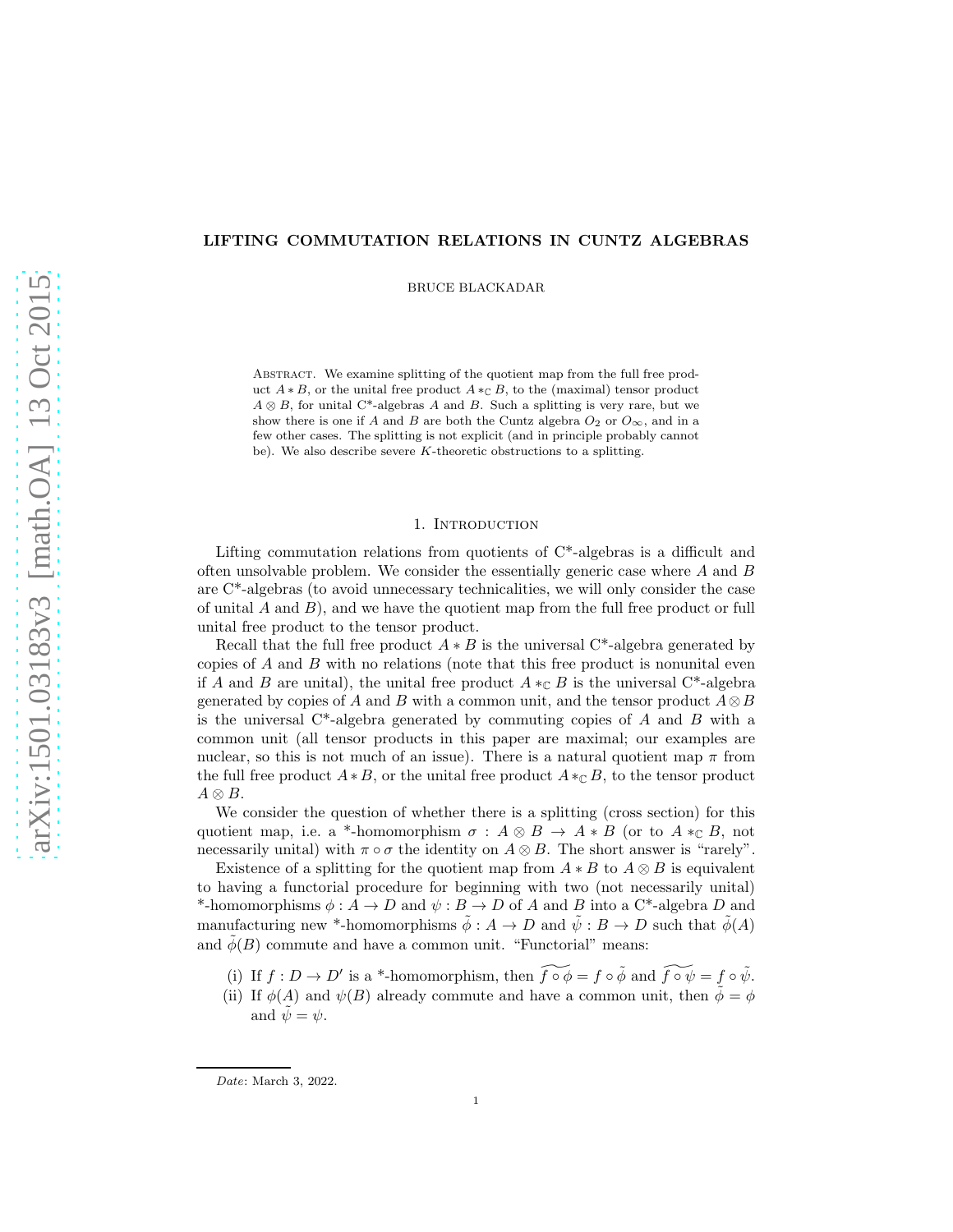# LIFTING COMMUTATION RELATIONS IN CUNTZ ALGEBRAS

BRUCE BLACKADAR

ABSTRACT. We examine splitting of the quotient map from the full free product  $A * B$ , or the unital free product  $A *_{\mathbb{C}} B$ , to the (maximal) tensor product  $A \otimes B$ , for unital C<sup>\*</sup>-algebras A and B. Such a splitting is very rare, but we show there is one if A and B are both the Cuntz algebra  $O_2$  or  $O_{\infty}$ , and in a few other cases. The splitting is not explicit (and in principle probably cannot be). We also describe severe K-theoretic obstructions to a splitting.

### 1. INTRODUCTION

Lifting commutation relations from quotients of  $C^*$ -algebras is a difficult and often unsolvable problem. We consider the essentially generic case where  $A$  and  $B$ are C\*-algebras (to avoid unnecessary technicalities, we will only consider the case of unital  $A$  and  $B$ ), and we have the quotient map from the full free product or full unital free product to the tensor product.

Recall that the full free product  $A * B$  is the universal C<sup>\*</sup>-algebra generated by copies of  $A$  and  $B$  with no relations (note that this free product is nonunital even if A and B are unital), the unital free product  $A *_{\mathbb{C}} B$  is the universal C<sup>\*</sup>-algebra generated by copies of A and B with a common unit, and the tensor product  $A \otimes B$ is the universal  $C^*$ -algebra generated by commuting copies of A and B with a common unit (all tensor products in this paper are maximal; our examples are nuclear, so this is not much of an issue). There is a natural quotient map  $\pi$  from the full free product  $A * B$ , or the unital free product  $A *_{\mathbb{C}} B$ , to the tensor product  $A \otimes B$ .

We consider the question of whether there is a splitting (cross section) for this quotient map, i.e. a \*-homomorphism  $\sigma : A \otimes B \to A * B$  (or to  $A *_{\mathbb{C}} B$ , not necessarily unital) with  $\pi \circ \sigma$  the identity on  $A \otimes B$ . The short answer is "rarely".

Existence of a splitting for the quotient map from  $A * B$  to  $A \otimes B$  is equivalent to having a functorial procedure for beginning with two (not necessarily unital) \*-homomorphisms  $\phi : A \to D$  and  $\psi : B \to D$  of A and B into a C<sup>\*</sup>-algebra D and manufacturing new \*-homomorphisms  $\tilde{\phi}: A \to D$  and  $\tilde{\psi}: B \to D$  such that  $\tilde{\phi}(A)$ and  $\tilde{\phi}(B)$  commute and have a common unit. "Functorial" means:

- (i) If  $f: D \to D'$  is a \*-homomorphism, then  $\widetilde{f \circ \phi} = f \circ \widetilde{\phi}$  and  $\widetilde{f \circ \psi} = f \circ \widetilde{\psi}$ .
- (ii) If  $\phi(A)$  and  $\psi(B)$  already commute and have a common unit, then  $\tilde{\phi} = \phi$ and  $\psi = \psi$ .

Date: March 3, 2022.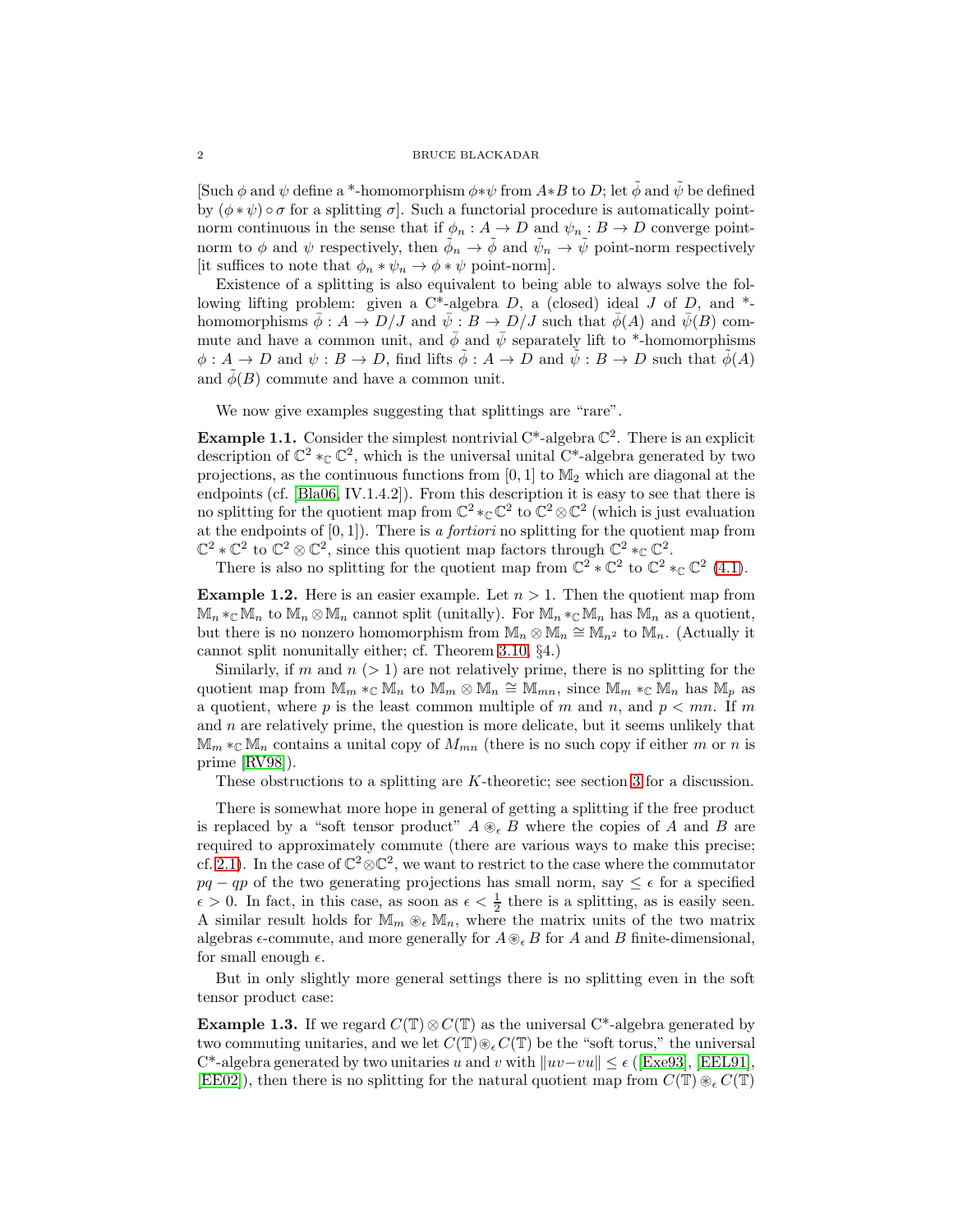[Such  $\phi$  and  $\psi$  define a \*-homomorphism  $\phi * \psi$  from  $A * B$  to D; let  $\phi$  and  $\bar{\psi}$  be defined by  $(\phi * \psi) \circ \sigma$  for a splitting  $\sigma$ . Such a functorial procedure is automatically pointnorm continuous in the sense that if  $\phi_n : A \to D$  and  $\psi_n : B \to D$  converge pointnorm to  $\phi$  and  $\psi$  respectively, then  $\tilde{\phi}_n \to \tilde{\phi}$  and  $\tilde{\psi}_n \to \tilde{\psi}$  point-norm respectively [it suffices to note that  $\phi_n * \psi_n \to \phi * \psi$  point-norm].

Existence of a splitting is also equivalent to being able to always solve the following lifting problem: given a  $C^*$ -algebra D, a (closed) ideal J of D, and  $*$ homomorphisms  $\phi : A \to D/J$  and  $\bar{\psi} : B \to D/J$  such that  $\bar{\phi}(A)$  and  $\bar{\psi}(B)$  commute and have a common unit, and  $\phi$  and  $\psi$  separately lift to \*-homomorphisms  $\phi: A \to D$  and  $\psi: B \to D$ , find lifts  $\tilde{\phi}: A \to D$  and  $\tilde{\psi}: B \to D$  such that  $\tilde{\phi}(A)$ and  $\phi(B)$  commute and have a common unit.

We now give examples suggesting that splittings are "rare".

**Example 1.1.** Consider the simplest nontrivial  $C^*$ -algebra  $\mathbb{C}^2$ . There is an explicit description of  $\mathbb{C}^2 *_{\mathbb{C}} \mathbb{C}^2$ , which is the universal unital C<sup>\*</sup>-algebra generated by two projections, as the continuous functions from  $[0, 1]$  to  $M_2$  which are diagonal at the endpoints (cf. [\[Bla06,](#page-13-0) IV.1.4.2]). From this description it is easy to see that there is no splitting for the quotient map from  $\mathbb{C}^2 *_{\mathbb{C}} \mathbb{C}^2$  to  $\mathbb{C}^2 \otimes \mathbb{C}^2$  (which is just evaluation at the endpoints of  $[0, 1]$ . There is a *fortiori* no splitting for the quotient map from  $\mathbb{C}^2 * \mathbb{C}^2$  to  $\mathbb{C}^2 \otimes \mathbb{C}^2$ , since this quotient map factors through  $\mathbb{C}^2 *_{\mathbb{C}} \mathbb{C}^2$ .

There is also no splitting for the quotient map from  $\mathbb{C}^2 * \mathbb{C}^2$  to  $\mathbb{C}^2 *_{\mathbb{C}} \mathbb{C}^2$  [\(4.1\)](#page-10-0).

<span id="page-1-0"></span>**Example 1.2.** Here is an easier example. Let  $n > 1$ . Then the quotient map from  $\mathbb{M}_n *_{\mathbb{C}} \mathbb{M}_n$  to  $\mathbb{M}_n \otimes \mathbb{M}_n$  cannot split (unitally). For  $\mathbb{M}_n *_{\mathbb{C}} \mathbb{M}_n$  has  $\mathbb{M}_n$  as a quotient, but there is no nonzero homomorphism from  $\mathbb{M}_n \otimes \mathbb{M}_n \cong \mathbb{M}_{n^2}$  to  $\mathbb{M}_n$ . (Actually it cannot split nonunitally either; cf. Theorem [3.10,](#page-8-0) §4.)

Similarly, if m and  $n > 1$  are not relatively prime, there is no splitting for the quotient map from  $\mathbb{M}_m *_{\mathbb{C}} \mathbb{M}_n$  to  $\mathbb{M}_m \otimes \mathbb{M}_n \cong \mathbb{M}_{mn}$ , since  $\mathbb{M}_m *_{\mathbb{C}} \mathbb{M}_n$  has  $\mathbb{M}_p$  as a quotient, where p is the least common multiple of m and n, and  $p < mn$ . If m and  $n$  are relatively prime, the question is more delicate, but it seems unlikely that  $\mathbb{M}_m *_{\mathbb{C}} \mathbb{M}_n$  contains a unital copy of  $M_{mn}$  (there is no such copy if either m or n is prime [\[RV98\]](#page-14-0)).

These obstructions to a splitting are K-theoretic; see section [3](#page-4-0) for a discussion.

There is somewhat more hope in general of getting a splitting if the free product is replaced by a "soft tensor product"  $A \otimes_{\epsilon} B$  where the copies of A and B are required to approximately commute (there are various ways to make this precise; cf. [2.1\)](#page-2-0). In the case of  $\mathbb{C}^2 \otimes \mathbb{C}^2$ , we want to restrict to the case where the commutator  $pq - qp$  of the two generating projections has small norm, say  $\leq \epsilon$  for a specified  $\epsilon > 0$ . In fact, in this case, as soon as  $\epsilon < \frac{1}{2}$  there is a splitting, as is easily seen. A similar result holds for  $\mathbb{M}_m \otimes_{\epsilon} \mathbb{M}_n$ , where the matrix units of the two matrix algebras  $\epsilon$ -commute, and more generally for  $A \otimes_{\epsilon} B$  for A and B finite-dimensional, for small enough  $\epsilon$ .

But in only slightly more general settings there is no splitting even in the soft tensor product case:

**Example 1.3.** If we regard  $C(\mathbb{T}) \otimes C(\mathbb{T})$  as the universal C<sup>\*</sup>-algebra generated by two commuting unitaries, and we let  $C(\mathbb{T})\otimes_{\epsilon} C(\mathbb{T})$  be the "soft torus," the universal  $C^*$ -algebra generated by two unitaries u and v with  $||uv-vu|| \leq \epsilon$  ([\[Exe93\]](#page-14-1), [\[EEL91\]](#page-14-2), [\[EE02\]](#page-14-3)), then there is no splitting for the natural quotient map from  $C(\mathbb{T}) \otimes_{\epsilon} C(\mathbb{T})$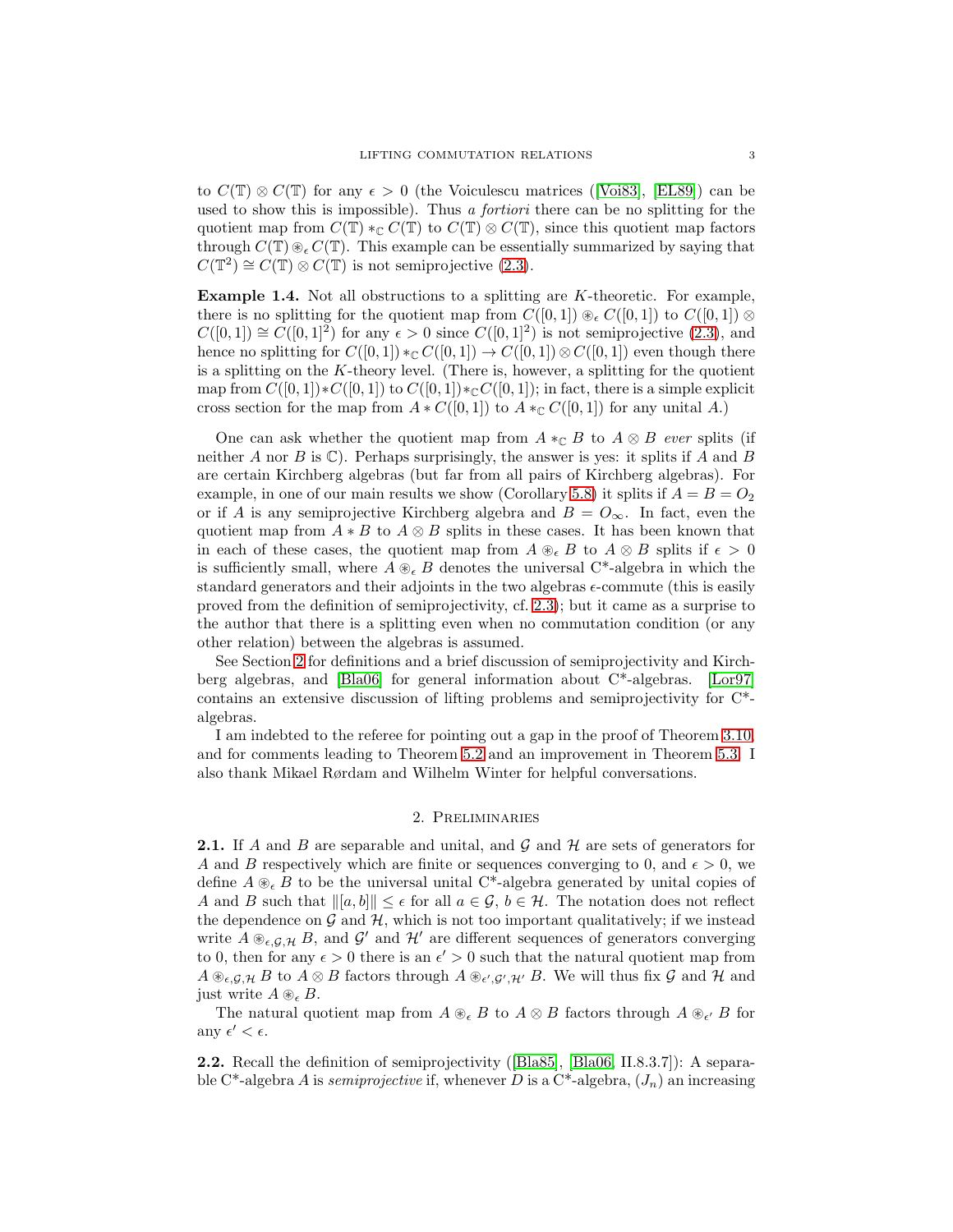to  $C(\mathbb{T}) \otimes C(\mathbb{T})$  for any  $\epsilon > 0$  (the Voiculescu matrices ([\[Voi83\]](#page-14-4), [\[EL89\]](#page-14-5)) can be used to show this is impossible). Thus a fortiori there can be no splitting for the quotient map from  $C(\mathbb{T}) *_{\mathbb{C}} C(\mathbb{T})$  to  $C(\mathbb{T}) \otimes C(\mathbb{T})$ , since this quotient map factors through  $C(\mathbb{T}) \otimes_{\epsilon} C(\mathbb{T})$ . This example can be essentially summarized by saying that  $C(\mathbb{T}^2) \cong C(\mathbb{T}) \otimes C(\mathbb{T})$  is not semiprojective [\(2.3\)](#page-3-0).

Example 1.4. Not all obstructions to a splitting are K-theoretic. For example, there is no splitting for the quotient map from  $C([0,1]) \otimes_{\epsilon} C([0,1])$  to  $C([0,1]) \otimes_{\epsilon} C([0,1])$  $C([0,1]) \cong C([0,1]^2)$  for any  $\epsilon > 0$  since  $C([0,1]^2)$  is not semiprojective  $(2.3)$ , and hence no splitting for  $C([0, 1]) \ast_{\mathbb{C}} C([0, 1]) \rightarrow C([0, 1]) \otimes C([0, 1])$  even though there is a splitting on the  $K$ -theory level. (There is, however, a splitting for the quotient map from  $C([0,1])$ ∗ $C([0,1])$  to  $C([0,1])$ ∗ $\subset C([0,1])$ ; in fact, there is a simple explicit cross section for the map from  $A * C([0,1])$  to  $A *_{\mathbb{C}} C([0,1])$  for any unital A.)

One can ask whether the quotient map from  $A *_{\mathbb{C}} B$  to  $A \otimes B$  ever splits (if neither A nor B is  $\mathbb{C}$ ). Perhaps surprisingly, the answer is yes: it splits if A and B are certain Kirchberg algebras (but far from all pairs of Kirchberg algebras). For example, in one of our main results we show (Corollary [5.8\)](#page-12-0) it splits if  $A = B = O_2$ or if A is any semiprojective Kirchberg algebra and  $B = O_{\infty}$ . In fact, even the quotient map from  $A * B$  to  $A \otimes B$  splits in these cases. It has been known that in each of these cases, the quotient map from  $A \otimes_{\epsilon} B$  to  $A \otimes B$  splits if  $\epsilon > 0$ is sufficiently small, where  $A \otimes_{\epsilon} B$  denotes the universal C<sup>\*</sup>-algebra in which the standard generators and their adjoints in the two algebras  $\epsilon$ -commute (this is easily proved from the definition of semiprojectivity, cf. [2.3\)](#page-3-0); but it came as a surprise to the author that there is a splitting even when no commutation condition (or any other relation) between the algebras is assumed.

See Section [2](#page-2-1) for definitions and a brief discussion of semiprojectivity and Kirchberg algebras, and [\[Bla06\]](#page-13-0) for general information about C\*-algebras. [\[Lor97\]](#page-14-6) contains an extensive discussion of lifting problems and semiprojectivity for C\* algebras.

I am indebted to the referee for pointing out a gap in the proof of Theorem [3.10,](#page-8-0) and for comments leading to Theorem [5.2](#page-11-0) and an improvement in Theorem [5.3.](#page-11-1) I also thank Mikael Rørdam and Wilhelm Winter for helpful conversations.

### 2. Preliminaries

<span id="page-2-1"></span><span id="page-2-0"></span>**2.1.** If A and B are separable and unital, and  $\mathcal{G}$  and  $\mathcal{H}$  are sets of generators for A and B respectively which are finite or sequences converging to 0, and  $\epsilon > 0$ , we define  $A \otimes_{\epsilon} B$  to be the universal unital C<sup>\*</sup>-algebra generated by unital copies of A and B such that  $\|[a, b]\| \leq \epsilon$  for all  $a \in \mathcal{G}, b \in \mathcal{H}$ . The notation does not reflect the dependence on  $\mathcal G$  and  $\mathcal H$ , which is not too important qualitatively; if we instead write  $\overline{A} \otimes_{\epsilon,\mathcal{G},\mathcal{H}} B$ , and  $\mathcal{G}'$  and  $\mathcal{H}'$  are different sequences of generators converging to 0, then for any  $\epsilon > 0$  there is an  $\epsilon' > 0$  such that the natural quotient map from  $A \otimes_{\epsilon,\mathcal{G},\mathcal{H}} B$  to  $A \otimes B$  factors through  $A \otimes_{\epsilon',\mathcal{G}',\mathcal{H}'} B$ . We will thus fix  $\mathcal G$  and  $\mathcal H$  and just write  $A \otimes_{\epsilon} B$ .

The natural quotient map from  $A \otimes_{\epsilon} B$  to  $A \otimes B$  factors through  $A \otimes_{\epsilon'} B$  for any  $\epsilon' < \epsilon$ .

2.2. Recall the definition of semiprojectivity ([\[Bla85\]](#page-13-1), [\[Bla06,](#page-13-0) II.8.3.7]): A separable C<sup>\*</sup>-algebra A is *semiprojective* if, whenever D is a C<sup>\*</sup>-algebra,  $(J_n)$  an increasing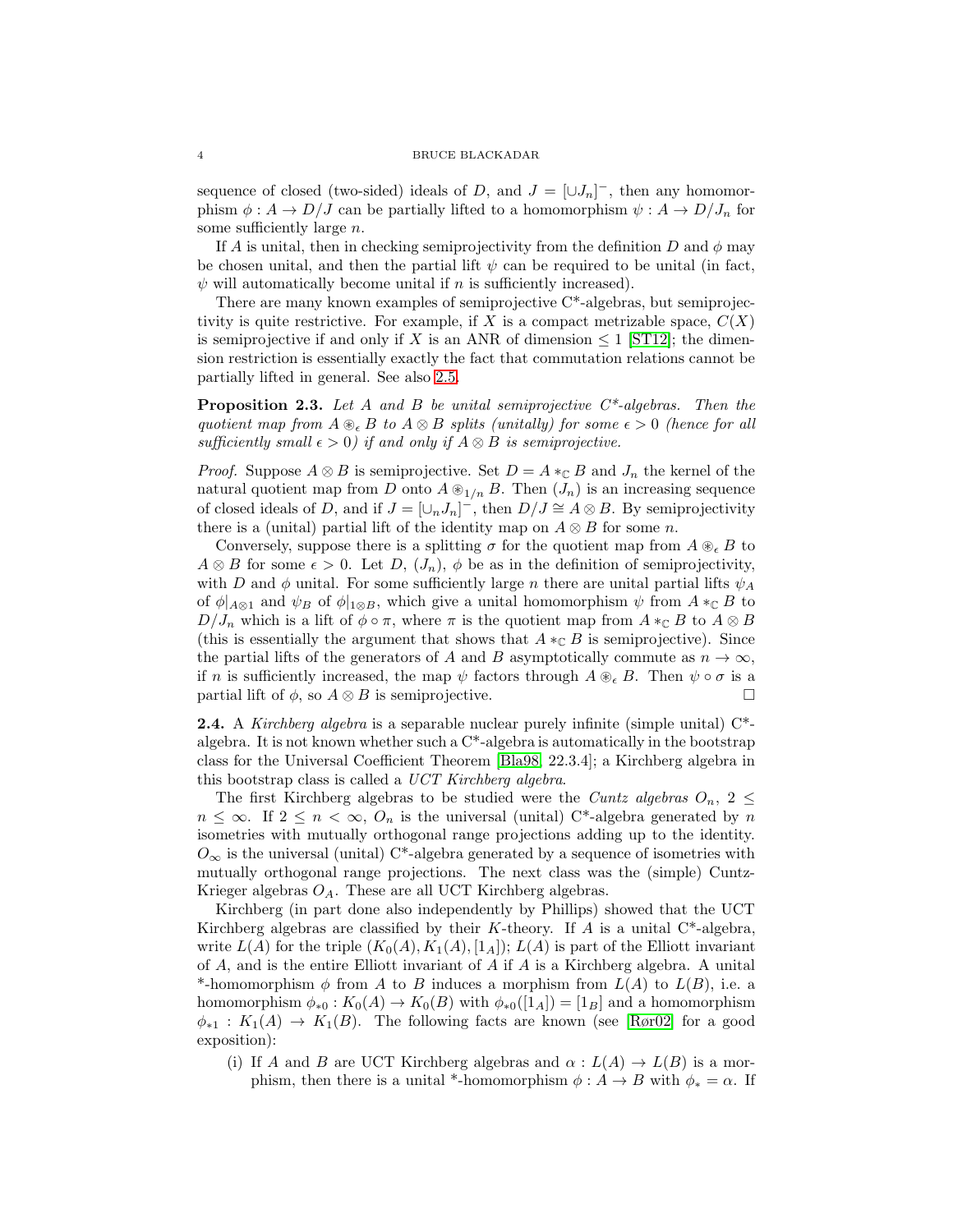sequence of closed (two-sided) ideals of D, and  $J = [\cup J_n]^-$ , then any homomorphism  $\phi: A \to D/J$  can be partially lifted to a homomorphism  $\psi: A \to D/J_n$  for some sufficiently large  $n$ .

If A is unital, then in checking semiprojectivity from the definition D and  $\phi$  may be chosen unital, and then the partial lift  $\psi$  can be required to be unital (in fact,  $\psi$  will automatically become unital if n is sufficiently increased).

There are many known examples of semiprojective C\*-algebras, but semiprojectivity is quite restrictive. For example, if X is a compact metrizable space,  $C(X)$ is semiprojective if and only if X is an ANR of dimension  $\leq 1$  [\[ST12\]](#page-14-7); the dimension restriction is essentially exactly the fact that commutation relations cannot be partially lifted in general. See also [2.5.](#page-4-1)

<span id="page-3-0"></span>**Proposition 2.3.** Let A and B be unital semiprojective  $C^*$ -algebras. Then the quotient map from  $A \otimes_{\epsilon} B$  to  $A \otimes B$  splits (unitally) for some  $\epsilon > 0$  (hence for all sufficiently small  $\epsilon > 0$ ) if and only if  $A \otimes B$  is semiprojective.

*Proof.* Suppose  $A \otimes B$  is semiprojective. Set  $D = A *_{\mathbb{C}} B$  and  $J_n$  the kernel of the natural quotient map from D onto  $A \otimes_{1/n} B$ . Then  $(J_n)$  is an increasing sequence of closed ideals of D, and if  $J = [\cup_n J_n]^{-1}$ , then  $D/J \cong A \otimes B$ . By semiprojectivity there is a (unital) partial lift of the identity map on  $A \otimes B$  for some n.

Conversely, suppose there is a splitting  $\sigma$  for the quotient map from  $A \otimes_{\epsilon} B$  to  $A \otimes B$  for some  $\epsilon > 0$ . Let  $D$ ,  $(J_n)$ ,  $\phi$  be as in the definition of semiprojectivity, with D and  $\phi$  unital. For some sufficiently large n there are unital partial lifts  $\psi_A$ of  $\phi|_{A\otimes 1}$  and  $\psi_B$  of  $\phi|_{1\otimes B}$ , which give a unital homomorphism  $\psi$  from  $A*_\mathbb{C} B$  to  $D/J_n$  which is a lift of  $\phi \circ \pi$ , where  $\pi$  is the quotient map from  $A \ast_{\mathbb{C}} B$  to  $A \otimes B$ (this is essentially the argument that shows that  $A \ast_{\mathbb{C}} B$  is semiprojective). Since the partial lifts of the generators of A and B asymptotically commute as  $n \to \infty$ , if n is sufficiently increased, the map  $\psi$  factors through  $A \otimes_{\epsilon} B$ . Then  $\psi \circ \sigma$  is a partial lift of  $\phi$ , so  $A \otimes B$  is semiprojective.

**2.4.** A Kirchberg algebra is a separable nuclear purely infinite (simple unital)  $C^*$ algebra. It is not known whether such a C\*-algebra is automatically in the bootstrap class for the Universal Coefficient Theorem [\[Bla98,](#page-13-2) 22.3.4]; a Kirchberg algebra in this bootstrap class is called a UCT Kirchberg algebra.

The first Kirchberg algebras to be studied were the *Cuntz algebras*  $O_n$ ,  $2 \leq$  $n \leq \infty$ . If  $2 \leq n < \infty$ ,  $O_n$  is the universal (unital) C<sup>\*</sup>-algebra generated by n isometries with mutually orthogonal range projections adding up to the identity.  $O_{\infty}$  is the universal (unital) C<sup>\*</sup>-algebra generated by a sequence of isometries with mutually orthogonal range projections. The next class was the (simple) Cuntz-Krieger algebras  $O<sub>A</sub>$ . These are all UCT Kirchberg algebras.

Kirchberg (in part done also independently by Phillips) showed that the UCT Kirchberg algebras are classified by their K-theory. If A is a unital  $C^*$ -algebra, write  $L(A)$  for the triple  $(K_0(A), K_1(A), [1_A])$ ;  $L(A)$  is part of the Elliott invariant of A, and is the entire Elliott invariant of A if A is a Kirchberg algebra. A unital \*-homomorphism  $\phi$  from A to B induces a morphism from  $L(A)$  to  $L(B)$ , i.e. a homomorphism  $\phi_{*0}: K_0(A) \to K_0(B)$  with  $\phi_{*0}([1_A]) = [1_B]$  and a homomorphism  $\phi_{*1}: K_1(A) \to K_1(B)$ . The following facts are known (see [\[Rør02\]](#page-14-8) for a good exposition):

(i) If A and B are UCT Kirchberg algebras and  $\alpha : L(A) \to L(B)$  is a morphism, then there is a unital \*-homomorphism  $\phi : A \to B$  with  $\phi_* = \alpha$ . If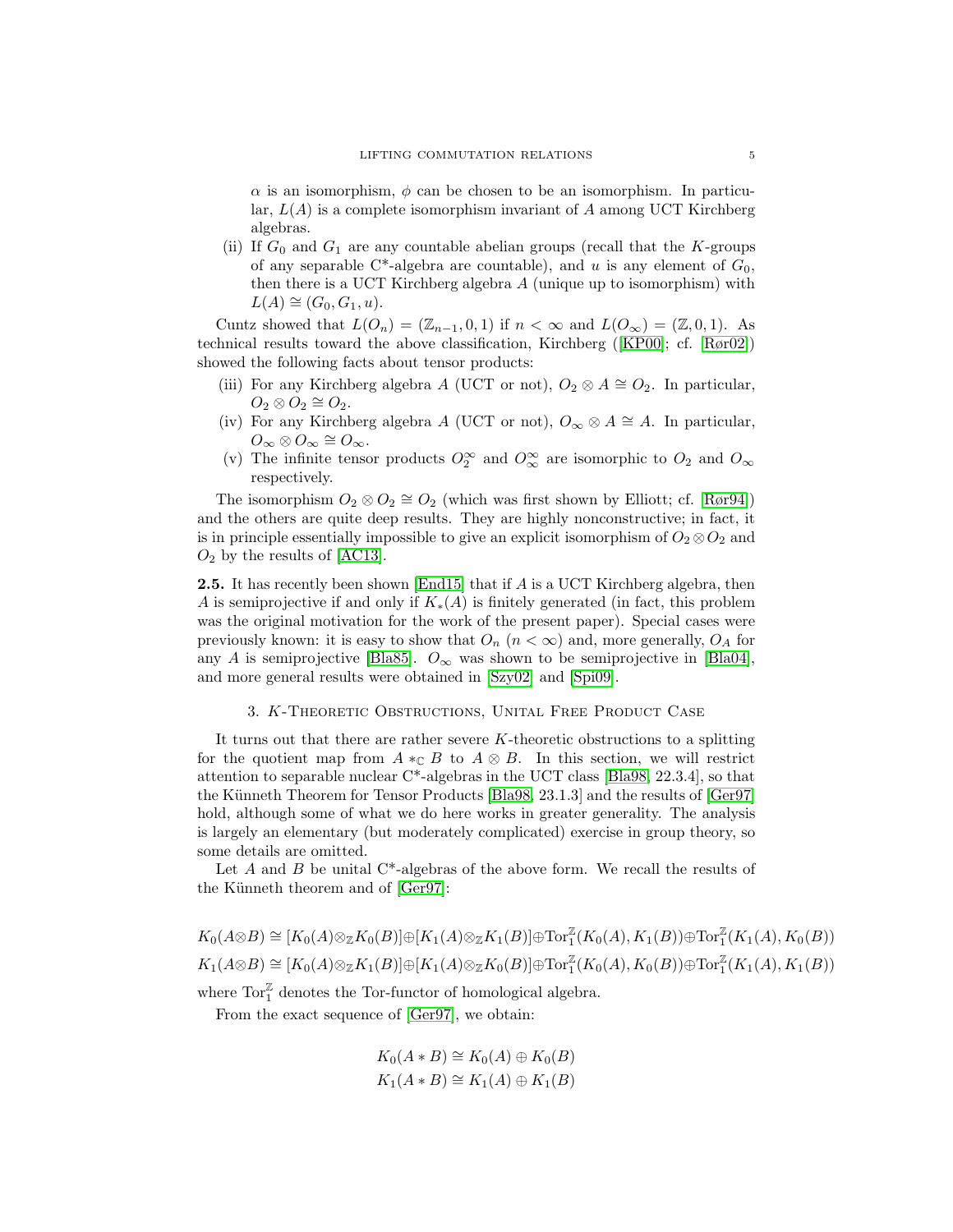$\alpha$  is an isomorphism,  $\phi$  can be chosen to be an isomorphism. In particular,  $L(A)$  is a complete isomorphism invariant of A among UCT Kirchberg algebras.

(ii) If  $G_0$  and  $G_1$  are any countable abelian groups (recall that the K-groups of any separable C<sup>\*</sup>-algebra are countable), and u is any element of  $G_0$ , then there is a UCT Kirchberg algebra A (unique up to isomorphism) with  $L(A) \cong (G_0, G_1, u).$ 

Cuntz showed that  $L(O_n) = (\mathbb{Z}_{n-1}, 0, 1)$  if  $n < \infty$  and  $L(O_\infty) = (\mathbb{Z}, 0, 1)$ . As technical results toward the above classification, Kirchberg ([\[KP00\]](#page-14-9); cf. [\[Rør02\]](#page-14-8)) showed the following facts about tensor products:

- (iii) For any Kirchberg algebra A (UCT or not),  $O_2 \otimes A \cong O_2$ . In particular,  $O_2 \otimes O_2 \cong O_2.$
- (iv) For any Kirchberg algebra A (UCT or not),  $O_{\infty} \otimes A \cong A$ . In particular,  $O_{\infty} \otimes O_{\infty} \cong O_{\infty}.$
- (v) The infinite tensor products  $O_2^{\infty}$  and  $O_{\infty}^{\infty}$  are isomorphic to  $O_2$  and  $O_{\infty}$ respectively.

The isomorphism  $O_2 \otimes O_2 \cong O_2$  (which was first shown by Elliott; cf. [\[Rør94\]](#page-14-10)) and the others are quite deep results. They are highly nonconstructive; in fact, it is in principle essentially impossible to give an explicit isomorphism of  $O_2 \otimes O_2$  and  $O_2$  by the results of [\[AC13\]](#page-13-3).

<span id="page-4-1"></span>2.5. It has recently been shown [\[End15\]](#page-14-11) that if A is a UCT Kirchberg algebra, then A is semiprojective if and only if  $K_*(A)$  is finitely generated (in fact, this problem was the original motivation for the work of the present paper). Special cases were previously known: it is easy to show that  $O_n$   $(n < \infty)$  and, more generally,  $O_A$  for any A is semiprojective [\[Bla85\]](#page-13-1).  $O_{\infty}$  was shown to be semiprojective in [\[Bla04\]](#page-13-4), and more general results were obtained in [\[Szy02\]](#page-14-12) and [\[Spi09\]](#page-14-13).

# 3. K-Theoretic Obstructions, Unital Free Product Case

<span id="page-4-0"></span>It turns out that there are rather severe  $K$ -theoretic obstructions to a splitting for the quotient map from  $A \ast_{\mathbb{C}} B$  to  $A \otimes B$ . In this section, we will restrict attention to separable nuclear C\*-algebras in the UCT class [\[Bla98,](#page-13-2) 22.3.4], so that the Künneth Theorem for Tensor Products [\[Bla98,](#page-13-2) 23.1.3] and the results of [\[Ger97\]](#page-14-14) hold, although some of what we do here works in greater generality. The analysis is largely an elementary (but moderately complicated) exercise in group theory, so some details are omitted.

Let A and B be unital  $C^*$ -algebras of the above form. We recall the results of the Künneth theorem and of  $[Ger97]$ :

 $K_0(A \otimes B) \cong [K_0(A) \otimes_{\mathbb{Z}} K_0(B)] \oplus [K_1(A) \otimes_{\mathbb{Z}} K_1(B)] \oplus \text{Tor}_1^{\mathbb{Z}}(K_0(A), K_1(B)) \oplus \text{Tor}_1^{\mathbb{Z}}(K_1(A), K_0(B))$  $K_1(A \otimes B) \cong [K_0(A) \otimes_{\mathbb{Z}} K_1(B)] \oplus [K_1(A) \otimes_{\mathbb{Z}} K_0(B)] \oplus \text{Tor}_1^{\mathbb{Z}}(K_0(A), K_0(B)) \oplus \text{Tor}_1^{\mathbb{Z}}(K_1(A), K_1(B))$ 

where  $\operatorname{Tor}\nolimits_1^{\mathbb{Z}}$  denotes the Tor-functor of homological algebra.

From the exact sequence of [\[Ger97\]](#page-14-14), we obtain:

$$
K_0(A * B) \cong K_0(A) \oplus K_0(B)
$$
  

$$
K_1(A * B) \cong K_1(A) \oplus K_1(B)
$$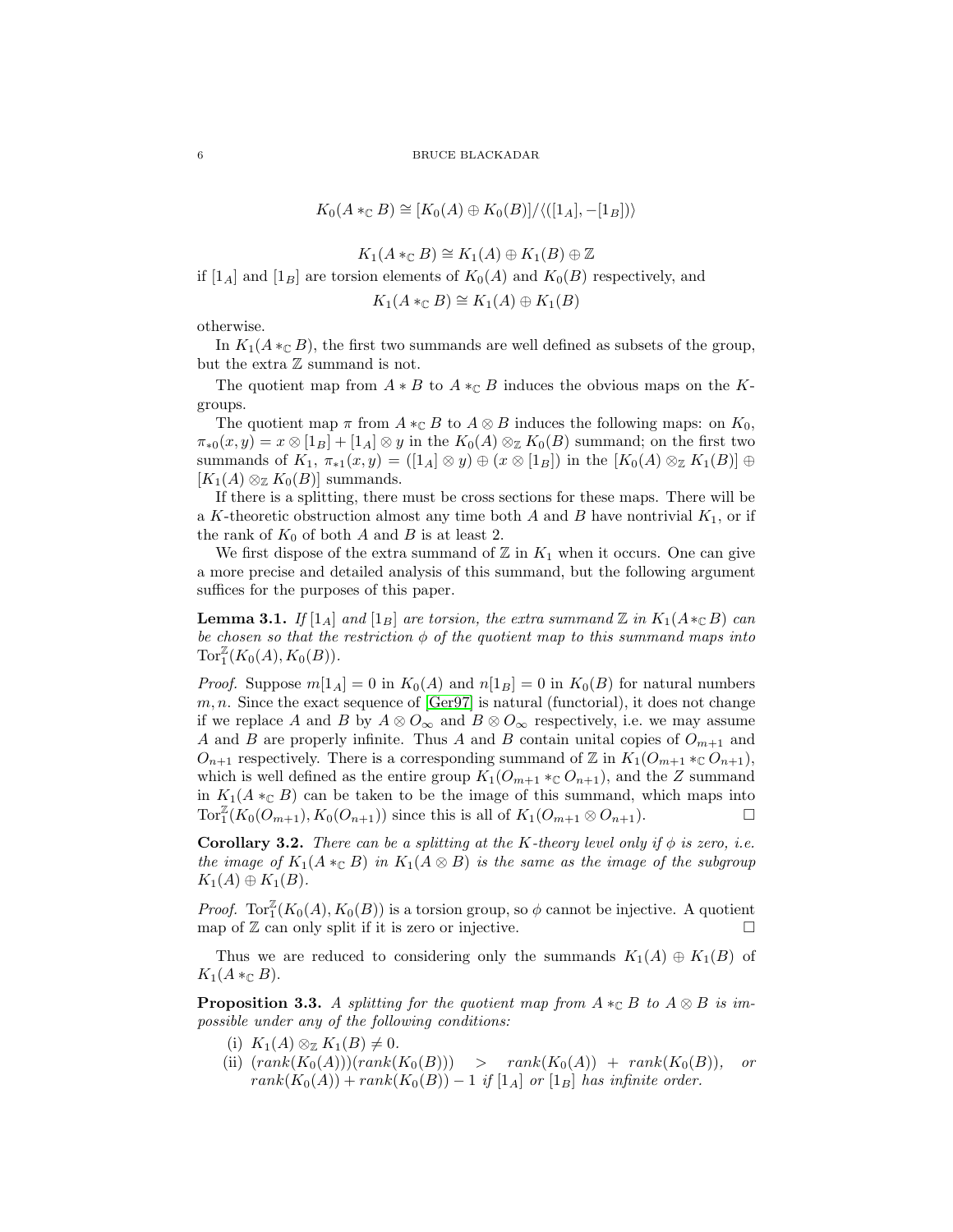$$
K_0(A *_{\mathbb{C}} B) \cong [K_0(A) \oplus K_0(B)] / \langle ([1_A], -[1_B]) \rangle
$$

 $K_1(A \ast_{\mathbb{C}} B) \cong K_1(A) \oplus K_1(B) \oplus \mathbb{Z}$ 

if  $[1_A]$  and  $[1_B]$  are torsion elements of  $K_0(A)$  and  $K_0(B)$  respectively, and

$$
K_1(A *_{\mathbb{C}} B) \cong K_1(A) \oplus K_1(B)
$$

otherwise.

In  $K_1(A *_{\mathbb{C}} B)$ , the first two summands are well defined as subsets of the group, but the extra  $\mathbb Z$  summand is not.

The quotient map from  $A * B$  to  $A *_{\mathbb{C}} B$  induces the obvious maps on the Kgroups.

The quotient map  $\pi$  from  $A *_{\mathbb{C}} B$  to  $A \otimes B$  induces the following maps: on  $K_0$ ,  $\pi_{*0}(x, y) = x \otimes [1_B] + [1_A] \otimes y$  in the  $K_0(A) \otimes_{\mathbb{Z}} K_0(B)$  summand; on the first two summands of  $K_1$ ,  $\pi_{*1}(x, y) = ([1_A] \otimes y) \oplus (x \otimes [1_B])$  in the  $[K_0(A) \otimes_{\mathbb{Z}} K_1(B)] \oplus$  $[K_1(A) \otimes_{\mathbb{Z}} K_0(B)]$  summands.

If there is a splitting, there must be cross sections for these maps. There will be a K-theoretic obstruction almost any time both A and B have nontrivial  $K_1$ , or if the rank of  $K_0$  of both A and B is at least 2.

We first dispose of the extra summand of  $\mathbb{Z}$  in  $K_1$  when it occurs. One can give a more precise and detailed analysis of this summand, but the following argument suffices for the purposes of this paper.

**Lemma 3.1.** If  $[1_A]$  and  $[1_B]$  are torsion, the extra summand  $\mathbb{Z}$  in  $K_1(A *_{\mathbb{C}} B)$  can be chosen so that the restriction  $\phi$  of the quotient map to this summand maps into  $Tor_1^{\mathbb{Z}}(K_0(A), K_0(B)).$ 

*Proof.* Suppose  $m[1_A] = 0$  in  $K_0(A)$  and  $n[1_B] = 0$  in  $K_0(B)$  for natural numbers  $m, n$ . Since the exact sequence of  $\lbrack \text{Ger97} \rbrack$  is natural (functorial), it does not change if we replace A and B by  $A \otimes O_{\infty}$  and  $B \otimes O_{\infty}$  respectively, i.e. we may assume A and B are properly infinite. Thus A and B contain unital copies of  $O_{m+1}$  and  $O_{n+1}$  respectively. There is a corresponding summand of Z in  $K_1(O_{m+1} *_{\mathbb{C}} O_{n+1}),$ which is well defined as the entire group  $K_1(O_{m+1} *_{\mathbb{C}} O_{n+1}),$  and the Z summand in  $K_1(A *_{\mathbb{C}} B)$  can be taken to be the image of this summand, which maps into  $Tor_1^{\mathbb{Z}}(K_0(O_{m+1}), K_0(O_{n+1}))$  since this is all of  $K_1(O_{m+1} \otimes O_{n+1})$ .

**Corollary 3.2.** There can be a splitting at the K-theory level only if  $\phi$  is zero, i.e. the image of  $K_1(A \ast_{\mathbb{C}} B)$  in  $K_1(A \otimes B)$  is the same as the image of the subgroup  $K_1(A) \oplus K_1(B)$ .

*Proof.* Tor<sub>1</sub><sup> $\mathbb{Z}(K_0(A), K_0(B))$  is a torsion group, so  $\phi$  cannot be injective. A quotient</sup> map of  $\mathbb Z$  can only split if it is zero or injective.  $\Box$ 

Thus we are reduced to considering only the summands  $K_1(A) \oplus K_1(B)$  of  $K_1(A \ast_{\mathbb{C}} B).$ 

<span id="page-5-0"></span>**Proposition 3.3.** A splitting for the quotient map from  $A \ast_{\mathbb{C}} B$  to  $A \otimes B$  is impossible under any of the following conditions:

- (i)  $K_1(A) \otimes_{\mathbb{Z}} K_1(B) \neq 0.$
- (ii)  $(rank(K<sub>0</sub>(A)))(rank(K<sub>0</sub>(B)))$  >  $rank(K<sub>0</sub>(A)) + rank(K<sub>0</sub>(B)),$  or  $rank(K_0(A)) + rank(K_0(B)) - 1$  if  $[1_A]$  or  $[1_B]$  has infinite order.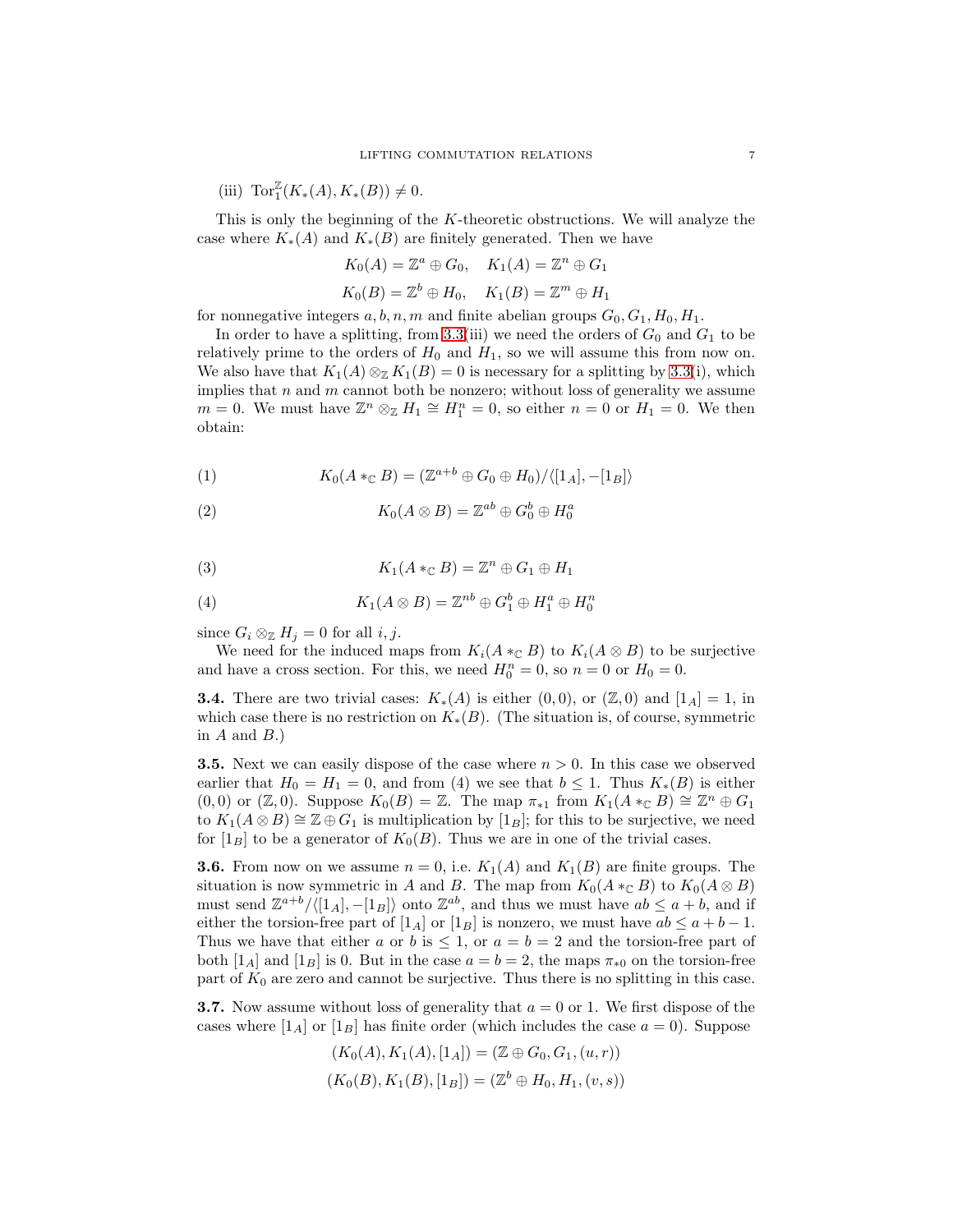(iii)  $\text{Tor}_{1}^{\mathbb{Z}}(K_{*}(A), K_{*}(B)) \neq 0.$ 

This is only the beginning of the  $K$ -theoretic obstructions. We will analyze the case where  $K_*(A)$  and  $K_*(B)$  are finitely generated. Then we have

$$
K_0(A) = \mathbb{Z}^a \oplus G_0, \quad K_1(A) = \mathbb{Z}^n \oplus G_1
$$
  

$$
K_0(B) = \mathbb{Z}^b \oplus H_0, \quad K_1(B) = \mathbb{Z}^m \oplus H_1
$$

for nonnegative integers  $a, b, n, m$  and finite abelian groups  $G_0, G_1, H_0, H_1$ .

In order to have a splitting, from [3.3\(](#page-5-0)iii) we need the orders of  $G_0$  and  $G_1$  to be relatively prime to the orders of  $H_0$  and  $H_1$ , so we will assume this from now on. We also have that  $K_1(A) \otimes_{\mathbb{Z}} K_1(B) = 0$  is necessary for a splitting by [3.3\(](#page-5-0)i), which implies that  $n$  and  $m$  cannot both be nonzero; without loss of generality we assume  $m = 0$ . We must have  $\mathbb{Z}^n \otimes_{\mathbb{Z}} H_1 \cong H_1^n = 0$ , so either  $n = 0$  or  $H_1 = 0$ . We then obtain:

(1) 
$$
K_0(A *_{\mathbb{C}} B) = (\mathbb{Z}^{a+b} \oplus G_0 \oplus H_0) / \langle [1_A], -[1_B] \rangle
$$

(2) 
$$
K_0(A \otimes B) = \mathbb{Z}^{ab} \oplus G_0^b \oplus H_0^a
$$

(3) 
$$
K_1(A *_{\mathbb{C}} B) = \mathbb{Z}^n \oplus G_1 \oplus H_1
$$

(4) 
$$
K_1(A \otimes B) = \mathbb{Z}^{nb} \oplus G_1^b \oplus H_1^a \oplus H_0^n
$$

since  $G_i \otimes_{\mathbb{Z}} H_j = 0$  for all  $i, j$ .

We need for the induced maps from  $K_i(A *_{\mathbb{C}} B)$  to  $K_i(A \otimes B)$  to be surjective and have a cross section. For this, we need  $H_0^n = 0$ , so  $n = 0$  or  $H_0 = 0$ .

**3.4.** There are two trivial cases:  $K_*(A)$  is either  $(0,0)$ , or  $(\mathbb{Z},0)$  and  $[1_A]=1$ , in which case there is no restriction on  $K_*(B)$ . (The situation is, of course, symmetric in  $A$  and  $B$ .)

**3.5.** Next we can easily dispose of the case where  $n > 0$ . In this case we observed earlier that  $H_0 = H_1 = 0$ , and from (4) we see that  $b \leq 1$ . Thus  $K_*(B)$  is either  $(0,0)$  or  $(\mathbb{Z},0)$ . Suppose  $K_0(B) = \mathbb{Z}$ . The map  $\pi_{*1}$  from  $K_1(A *_{\mathbb{C}} B) \cong \mathbb{Z}^n \oplus G_1$ to  $K_1(A \otimes B) \cong \mathbb{Z} \oplus G_1$  is multiplication by  $[1_B]$ ; for this to be surjective, we need for  $[1_B]$  to be a generator of  $K_0(B)$ . Thus we are in one of the trivial cases.

**3.6.** From now on we assume  $n = 0$ , i.e.  $K_1(A)$  and  $K_1(B)$  are finite groups. The situation is now symmetric in A and B. The map from  $K_0(A \ast_{\mathbb{C}} B)$  to  $K_0(A \otimes B)$ must send  $\mathbb{Z}^{a+b}/\langle [1_A], -[1_B] \rangle$  onto  $\mathbb{Z}^{ab}$ , and thus we must have  $ab \leq a+b$ , and if either the torsion-free part of [1<sub>A</sub>] or [1<sub>B</sub>] is nonzero, we must have  $ab \le a + b - 1$ . Thus we have that either a or b is  $\leq 1$ , or  $a = b = 2$  and the torsion-free part of both [1<sub>A</sub>] and [1<sub>B</sub>] is 0. But in the case  $a = b = 2$ , the maps  $\pi_{*0}$  on the torsion-free part of  $K_0$  are zero and cannot be surjective. Thus there is no splitting in this case.

**3.7.** Now assume without loss of generality that  $a = 0$  or 1. We first dispose of the cases where  $[1_A]$  or  $[1_B]$  has finite order (which includes the case  $a = 0$ ). Suppose

$$
(K_0(A), K_1(A), [1_A]) = (\mathbb{Z} \oplus G_0, G_1, (u, r))
$$
  

$$
(K_0(B), K_1(B), [1_B]) = (\mathbb{Z}^b \oplus H_0, H_1, (v, s))
$$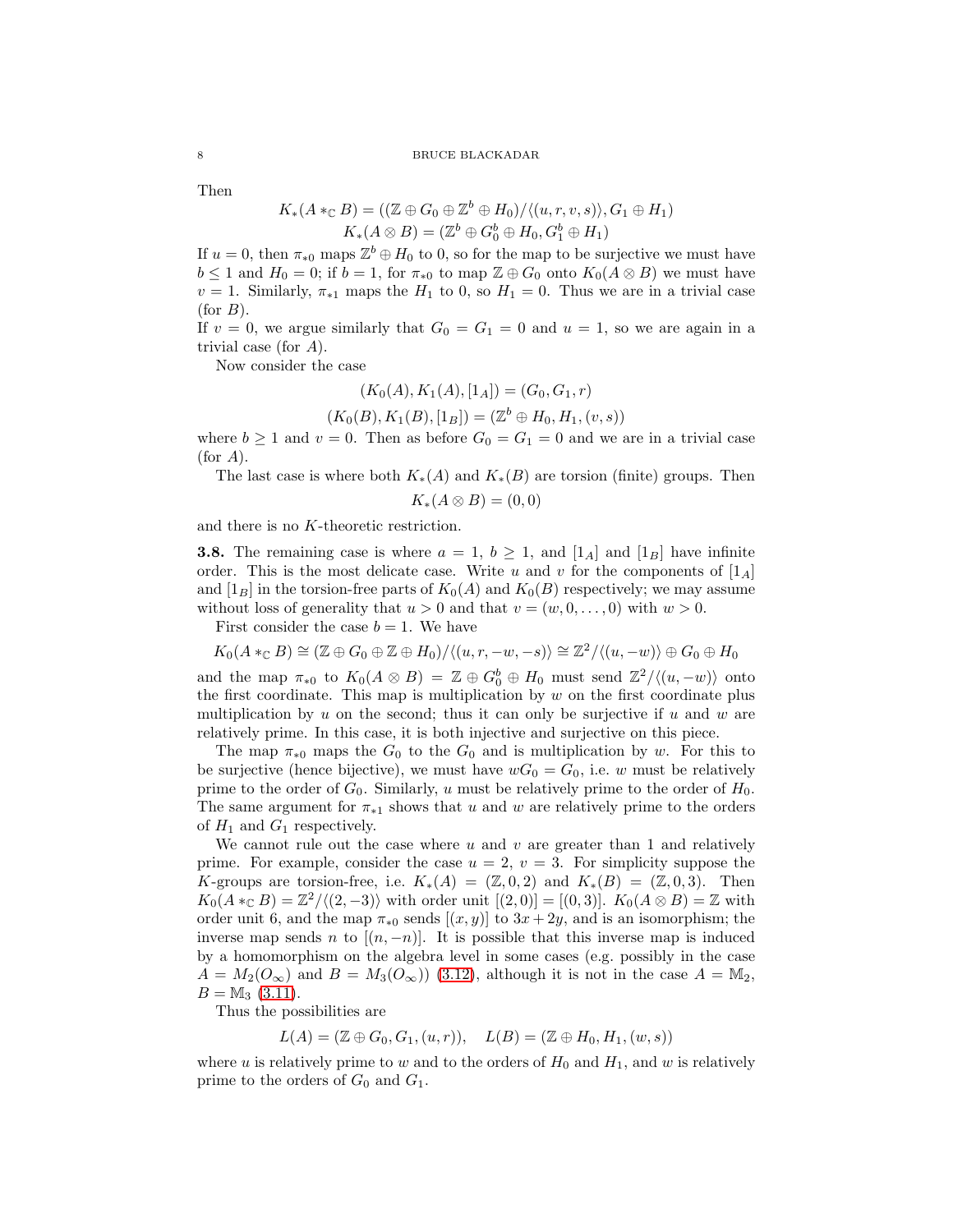Then

$$
K_*(A *_{\mathbb{C}} B) = ((\mathbb{Z} \oplus G_0 \oplus \mathbb{Z}^b \oplus H_0) / \langle (u, r, v, s) \rangle, G_1 \oplus H_1)
$$
  

$$
K_*(A \otimes B) = (\mathbb{Z}^b \oplus G_0^b \oplus H_0, G_1^b \oplus H_1)
$$

If  $u = 0$ , then  $\pi_{*0}$  maps  $\mathbb{Z}^b \oplus H_0$  to 0, so for the map to be surjective we must have  $b \le 1$  and  $H_0 = 0$ ; if  $b = 1$ , for  $\pi_{*0}$  to map  $\mathbb{Z} \oplus G_0$  onto  $K_0(A \otimes B)$  we must have  $v = 1$ . Similarly,  $\pi_{*1}$  maps the  $H_1$  to 0, so  $H_1 = 0$ . Thus we are in a trivial case  $(for B).$ 

If  $v = 0$ , we argue similarly that  $G_0 = G_1 = 0$  and  $u = 1$ , so we are again in a trivial case (for A).

Now consider the case

$$
(K_0(A), K_1(A), [1_A]) = (G_0, G_1, r)
$$
  

$$
(K_0(B), K_1(B), [1_B]) = (\mathbb{Z}^b \oplus H_0, H_1, (v, s))
$$

where  $b \ge 1$  and  $v = 0$ . Then as before  $G_0 = G_1 = 0$  and we are in a trivial case  $(for A).$ 

The last case is where both  $K_*(A)$  and  $K_*(B)$  are torsion (finite) groups. Then

$$
K_*(A \otimes B) = (0,0)
$$

and there is no K-theoretic restriction.

**3.8.** The remaining case is where  $a = 1, b \ge 1$ , and  $\begin{bmatrix} 1_A \end{bmatrix}$  and  $\begin{bmatrix} 1_B \end{bmatrix}$  have infinite order. This is the most delicate case. Write u and v for the components of  $[1_A]$ and  $[1_B]$  in the torsion-free parts of  $K_0(A)$  and  $K_0(B)$  respectively; we may assume without loss of generality that  $u > 0$  and that  $v = (w, 0, \ldots, 0)$  with  $w > 0$ .

First consider the case  $b = 1$ . We have

$$
K_0(A *_{\mathbb{C}} B) \cong (\mathbb{Z} \oplus G_0 \oplus \mathbb{Z} \oplus H_0) / \langle (u, r, -w, -s) \rangle \cong \mathbb{Z}^2 / \langle (u, -w) \rangle \oplus G_0 \oplus H_0
$$

and the map  $\pi_{*0}$  to  $K_0(A \otimes B) = \mathbb{Z} \oplus G_0^b \oplus H_0$  must send  $\mathbb{Z}^2/\langle (u, -w) \rangle$  onto the first coordinate. This map is multiplication by  $w$  on the first coordinate plus multiplication by u on the second; thus it can only be surjective if u and w are relatively prime. In this case, it is both injective and surjective on this piece.

The map  $\pi_{*0}$  maps the  $G_0$  to the  $G_0$  and is multiplication by w. For this to be surjective (hence bijective), we must have  $wG_0 = G_0$ , i.e. w must be relatively prime to the order of  $G_0$ . Similarly, u must be relatively prime to the order of  $H_0$ . The same argument for  $\pi_{*1}$  shows that u and w are relatively prime to the orders of  $H_1$  and  $G_1$  respectively.

We cannot rule out the case where  $u$  and  $v$  are greater than 1 and relatively prime. For example, consider the case  $u = 2, v = 3$ . For simplicity suppose the K-groups are torsion-free, i.e.  $K_*(A) = (\mathbb{Z}, 0, 2)$  and  $K_*(B) = (\mathbb{Z}, 0, 3)$ . Then  $K_0(A *_{\mathbb{C}} B) = \mathbb{Z}^2 / \langle (2, -3) \rangle$  with order unit  $[(2, 0)] = [(0, 3)]$ .  $K_0(A \otimes B) = \mathbb{Z}$  with order unit 6, and the map  $\pi_{*0}$  sends  $[(x, y)]$  to  $3x + 2y$ , and is an isomorphism; the inverse map sends n to  $[(n, -n)]$ . It is possible that this inverse map is induced by a homomorphism on the algebra level in some cases (e.g. possibly in the case  $A = M_2(O_\infty)$  and  $B = M_3(O_\infty))$  [\(3.12\)](#page-9-0), although it is not in the case  $A = M_2$ ,  $B = M_3$  [\(3.11\)](#page-8-1).

Thus the possibilities are

$$
L(A) = (\mathbb{Z} \oplus G_0, G_1, (u, r)), \quad L(B) = (\mathbb{Z} \oplus H_0, H_1, (w, s))
$$

where u is relatively prime to w and to the orders of  $H_0$  and  $H_1$ , and w is relatively prime to the orders of  $G_0$  and  $G_1$ .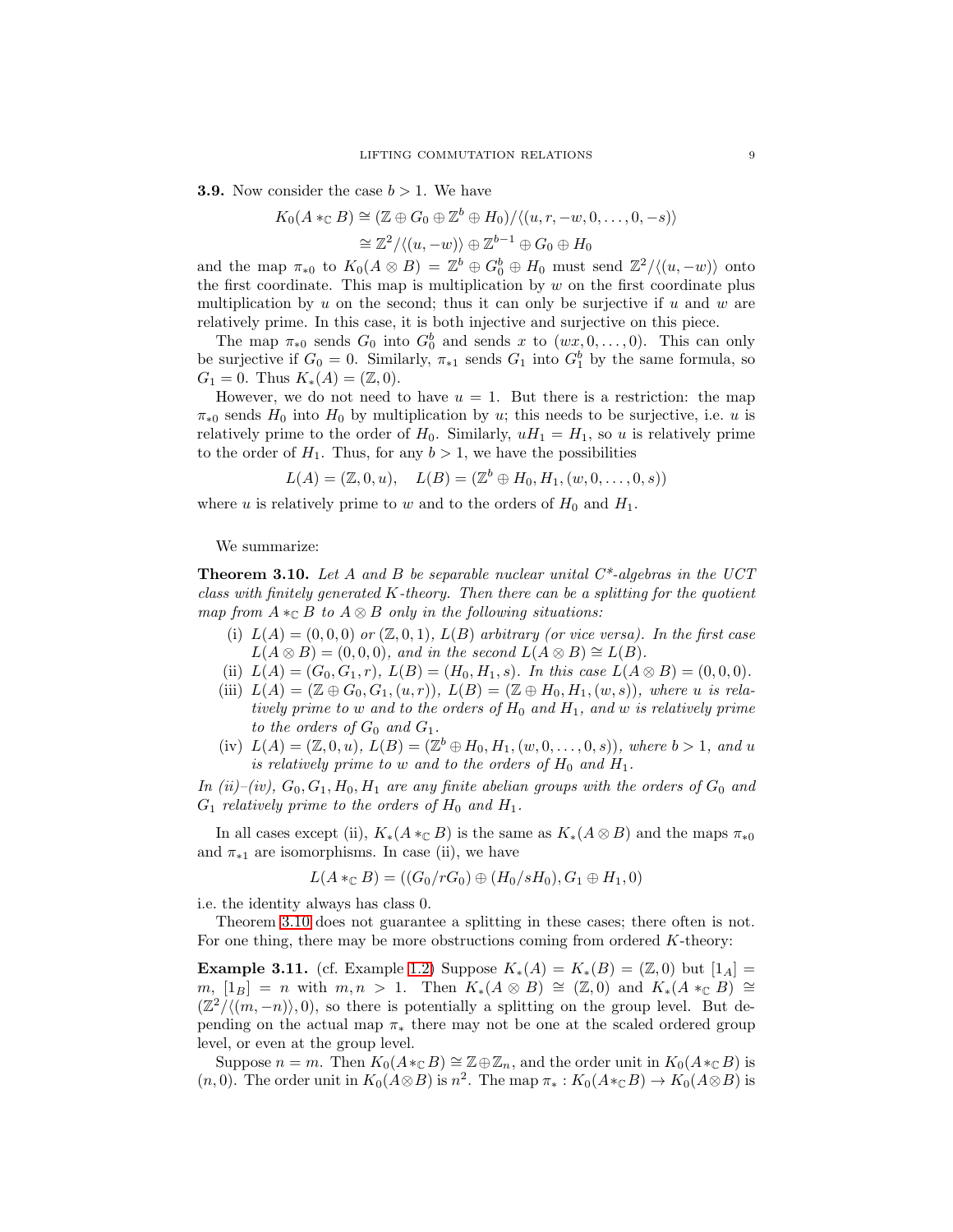**3.9.** Now consider the case  $b > 1$ . We have

$$
K_0(A *_{\mathbb{C}} B) \cong (\mathbb{Z} \oplus G_0 \oplus \mathbb{Z}^b \oplus H_0) / \langle (u, r, -w, 0, \dots, 0, -s) \rangle
$$

$$
\cong \mathbb{Z}^2 / \langle (u, -w) \rangle \oplus \mathbb{Z}^{b-1} \oplus G_0 \oplus H_0
$$

$$
K(A \oplus B) = \mathbb{Z}^b \oplus G_0 \oplus H_0
$$

and the map  $\pi_{*0}$  to  $K_0(A \otimes B) = \mathbb{Z}^b \oplus G_0^b \oplus H_0$  must send  $\mathbb{Z}^2/\langle (u, -w) \rangle$  onto the first coordinate. This map is multiplication by  $w$  on the first coordinate plus multiplication by u on the second; thus it can only be surjective if u and w are relatively prime. In this case, it is both injective and surjective on this piece.

The map  $\pi_{*0}$  sends  $G_0$  into  $G_0^b$  and sends x to  $(wx, 0, \ldots, 0)$ . This can only be surjective if  $G_0 = 0$ . Similarly,  $\pi_{*1}$  sends  $G_1$  into  $G_1^b$  by the same formula, so  $G_1 = 0$ . Thus  $K_*(A) = (\mathbb{Z}, 0)$ .

However, we do not need to have  $u = 1$ . But there is a restriction: the map  $\pi_{*0}$  sends  $H_0$  into  $H_0$  by multiplication by u; this needs to be surjective, i.e. u is relatively prime to the order of  $H_0$ . Similarly,  $uH_1 = H_1$ , so u is relatively prime to the order of  $H_1$ . Thus, for any  $b > 1$ , we have the possibilities

$$
L(A) = (\mathbb{Z}, 0, u), \quad L(B) = (\mathbb{Z}^b \oplus H_0, H_1, (w, 0, \dots, 0, s))
$$

where u is relatively prime to w and to the orders of  $H_0$  and  $H_1$ .

We summarize:

<span id="page-8-0"></span>**Theorem 3.10.** Let A and B be separable nuclear unital  $C^*$ -algebras in the UCT class with finitely generated K-theory. Then there can be a splitting for the quotient map from  $A \ast_{\mathbb{C}} B$  to  $A \otimes B$  only in the following situations:

- (i)  $L(A) = (0, 0, 0)$  or  $(\mathbb{Z}, 0, 1)$ ,  $L(B)$  arbitrary (or vice versa). In the first case  $L(A \otimes B) = (0, 0, 0),$  and in the second  $L(A \otimes B) \cong L(B)$ .
- (ii)  $L(A) = (G_0, G_1, r), L(B) = (H_0, H_1, s).$  In this case  $L(A \otimes B) = (0, 0, 0).$
- (iii)  $L(A) = (\mathbb{Z} \oplus G_0, G_1, (u, r)), L(B) = (\mathbb{Z} \oplus H_0, H_1, (w, s)),$  where u is relatively prime to w and to the orders of  $H_0$  and  $H_1$ , and w is relatively prime to the orders of  $G_0$  and  $G_1$ .
- (iv)  $L(A) = (\mathbb{Z}, 0, u)$ ,  $L(B) = (\mathbb{Z}^b \oplus H_0, H_1, (w, 0, \ldots, 0, s))$ , where  $b > 1$ , and u is relatively prime to w and to the orders of  $H_0$  and  $H_1$ .

In (ii)–(iv),  $G_0, G_1, H_0, H_1$  are any finite abelian groups with the orders of  $G_0$  and  $G_1$  relatively prime to the orders of  $H_0$  and  $H_1$ .

In all cases except (ii),  $K_*(A *_{\mathbb{C}} B)$  is the same as  $K_*(A \otimes B)$  and the maps  $\pi_{*0}$ and  $\pi_{*1}$  are isomorphisms. In case (ii), we have

$$
L(A *_{\mathbb{C}} B) = ((G_0/rG_0) \oplus (H_0/sH_0), G_1 \oplus H_1, 0)
$$

i.e. the identity always has class 0.

Theorem [3.10](#page-8-0) does not guarantee a splitting in these cases; there often is not. For one thing, there may be more obstructions coming from ordered K-theory:

<span id="page-8-1"></span>**Example 3.11.** (cf. Example [1.2\)](#page-1-0) Suppose  $K_*(A) = K_*(B) = (\mathbb{Z}, 0)$  but  $[1_A] =$ m,  $[1_B] = n$  with  $m, n > 1$ . Then  $K_*(A \otimes B) \cong (\mathbb{Z}, 0)$  and  $K_*(A *_{\mathbb{C}} B) \cong$  $(\mathbb{Z}^2/\langle (m, -n) \rangle, 0)$ , so there is potentially a splitting on the group level. But depending on the actual map  $\pi_*$  there may not be one at the scaled ordered group level, or even at the group level.

Suppose  $n = m$ . Then  $K_0(A *_{\mathbb{C}} B) \cong \mathbb{Z} \oplus \mathbb{Z}_n$ , and the order unit in  $K_0(A *_{\mathbb{C}} B)$  is  $(n, 0)$ . The order unit in  $K_0(A \otimes B)$  is  $n^2$ . The map  $\pi_* : K_0(A *_{\mathbb{C}} B) \to K_0(A \otimes B)$  is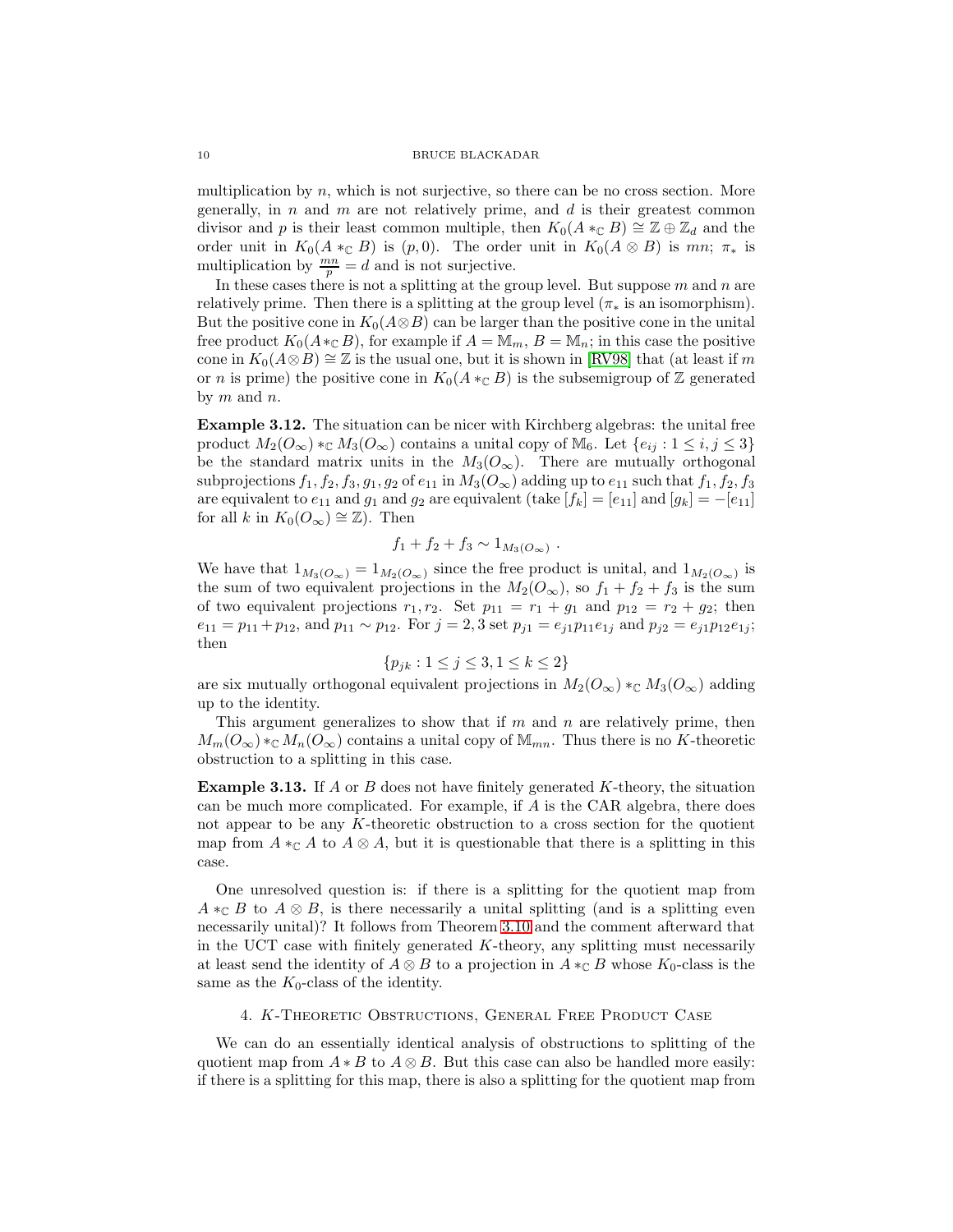multiplication by  $n$ , which is not surjective, so there can be no cross section. More generally, in n and m are not relatively prime, and  $d$  is their greatest common divisor and p is their least common multiple, then  $K_0(A \ast_{\mathbb{C}} B) \cong \mathbb{Z} \oplus \mathbb{Z}_d$  and the order unit in  $K_0(A \ast_{\mathbb{C}} B)$  is  $(p, 0)$ . The order unit in  $K_0(A \otimes B)$  is  $mn; \pi_*$  is multiplication by  $\frac{mn}{p} = d$  and is not surjective.

In these cases there is not a splitting at the group level. But suppose  $m$  and  $n$  are relatively prime. Then there is a splitting at the group level  $(\pi_*$  is an isomorphism). But the positive cone in  $K_0(A\otimes B)$  can be larger than the positive cone in the unital free product  $K_0(A *_{\mathbb{C}} B)$ , for example if  $A = \mathbb{M}_m$ ,  $B = \mathbb{M}_n$ ; in this case the positive cone in  $K_0(A\otimes B) \cong \mathbb{Z}$  is the usual one, but it is shown in [\[RV98\]](#page-14-0) that (at least if m or n is prime) the positive cone in  $K_0(A \ast_{\mathbb{C}} B)$  is the subsemigroup of Z generated by  $m$  and  $n$ .

<span id="page-9-0"></span>Example 3.12. The situation can be nicer with Kirchberg algebras: the unital free product  $M_2(O_\infty) *_{\mathbb{C}} M_3(O_\infty)$  contains a unital copy of  $M_6$ . Let  $\{e_{ij} : 1 \le i, j \le 3\}$ be the standard matrix units in the  $M_3(O_\infty)$ . There are mutually orthogonal subprojections  $f_1, f_2, f_3, g_1, g_2$  of  $e_{11}$  in  $M_3(O_\infty)$  adding up to  $e_{11}$  such that  $f_1, f_2, f_3$ are equivalent to  $e_{11}$  and  $g_1$  and  $g_2$  are equivalent (take  $[f_k] = [e_{11}]$  and  $[g_k] = -[e_{11}]$ for all k in  $K_0(O_\infty) \cong \mathbb{Z}$ ). Then

$$
f_1 + f_2 + f_3 \sim 1_{M_3(O_\infty)}
$$
.

We have that  $1_{M_3(O_\infty)} = 1_{M_2(O_\infty)}$  since the free product is unital, and  $1_{M_2(O_\infty)}$  is the sum of two equivalent projections in the  $M_2(O_\infty)$ , so  $f_1 + f_2 + f_3$  is the sum of two equivalent projections  $r_1, r_2$ . Set  $p_{11} = r_1 + g_1$  and  $p_{12} = r_2 + g_2$ ; then  $e_{11} = p_{11} + p_{12}$ , and  $p_{11} \sim p_{12}$ . For  $j = 2, 3$  set  $p_{j1} = e_{j1}p_{11}e_{1j}$  and  $p_{j2} = e_{j1}p_{12}e_{1j}$ ; then

$$
\{p_{jk} : 1 \le j \le 3, 1 \le k \le 2\}
$$

are six mutually orthogonal equivalent projections in  $M_2(O_\infty) *_{\mathbb{C}} M_3(O_\infty)$  adding up to the identity.

This argument generalizes to show that if  $m$  and  $n$  are relatively prime, then  $M_m(O_\infty) *_{\mathbb{C}} M_n(O_\infty)$  contains a unital copy of  $M_{mn}$ . Thus there is no K-theoretic obstruction to a splitting in this case.

**Example 3.13.** If  $A$  or  $B$  does not have finitely generated  $K$ -theory, the situation can be much more complicated. For example, if  $A$  is the CAR algebra, there does not appear to be any K-theoretic obstruction to a cross section for the quotient map from  $A \ast_{\mathbb{C}} A$  to  $A \otimes A$ , but it is questionable that there is a splitting in this case.

One unresolved question is: if there is a splitting for the quotient map from  $A *_{\mathbb{C}} B$  to  $A \otimes B$ , is there necessarily a unital splitting (and is a splitting even necessarily unital)? It follows from Theorem [3.10](#page-8-0) and the comment afterward that in the UCT case with finitely generated  $K$ -theory, any splitting must necessarily at least send the identity of  $A \otimes B$  to a projection in  $A \ast_{\mathbb{C}} B$  whose  $K_0$ -class is the same as the  $K_0$ -class of the identity.

# 4. K-Theoretic Obstructions, General Free Product Case

We can do an essentially identical analysis of obstructions to splitting of the quotient map from  $A * B$  to  $A \otimes B$ . But this case can also be handled more easily: if there is a splitting for this map, there is also a splitting for the quotient map from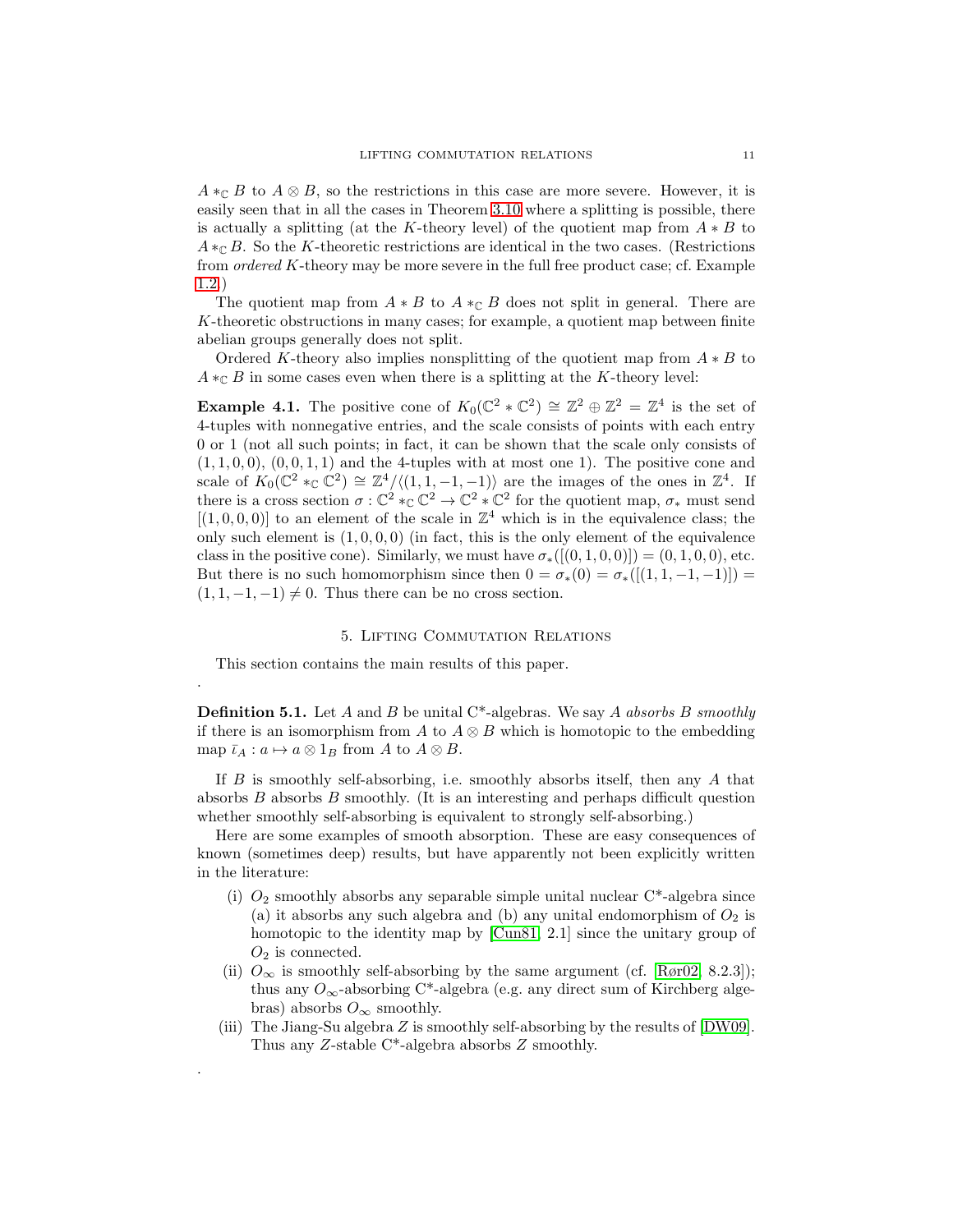$A *_{\mathbb{C}} B$  to  $A \otimes B$ , so the restrictions in this case are more severe. However, it is easily seen that in all the cases in Theorem [3.10](#page-8-0) where a splitting is possible, there is actually a splitting (at the K-theory level) of the quotient map from  $A * B$  to  $A *_{\mathbb{C}} B$ . So the K-theoretic restrictions are identical in the two cases. (Restrictions from ordered K-theory may be more severe in the full free product case; cf. Example [1.2.](#page-1-0))

The quotient map from  $A * B$  to  $A *_{\mathbb{C}} B$  does not split in general. There are K-theoretic obstructions in many cases; for example, a quotient map between finite abelian groups generally does not split.

Ordered K-theory also implies nonsplitting of the quotient map from  $A * B$  to  $A *_{\mathbb{C}} B$  in some cases even when there is a splitting at the K-theory level:

<span id="page-10-0"></span>**Example 4.1.** The positive cone of  $K_0(\mathbb{C}^2 * \mathbb{C}^2) \cong \mathbb{Z}^2 \oplus \mathbb{Z}^2 = \mathbb{Z}^4$  is the set of 4-tuples with nonnegative entries, and the scale consists of points with each entry 0 or 1 (not all such points; in fact, it can be shown that the scale only consists of  $(1, 1, 0, 0), (0, 0, 1, 1)$  and the 4-tuples with at most one 1). The positive cone and scale of  $K_0(\mathbb{C}^2 *_{\mathbb{C}} \mathbb{C}^2) \cong \mathbb{Z}^4/\langle (1,1,-1,-1) \rangle$  are the images of the ones in  $\mathbb{Z}^4$ . If there is a cross section  $\sigma: \mathbb{C}^2 *_{\mathbb{C}} \mathbb{C}^2 \to \mathbb{C}^2 * \mathbb{C}^2$  for the quotient map,  $\sigma_*$  must send  $[(1, 0, 0, 0)]$  to an element of the scale in  $\mathbb{Z}^4$  which is in the equivalence class; the only such element is  $(1, 0, 0, 0)$  (in fact, this is the only element of the equivalence class in the positive cone). Similarly, we must have  $\sigma_*([0,1,0,0)] = (0,1,0,0)$ , etc. But there is no such homomorphism since then  $0 = \sigma_*(0) = \sigma_*([1, 1, -1, -1]) =$  $(1, 1, -1, -1) \neq 0$ . Thus there can be no cross section.

#### 5. Lifting Commutation Relations

This section contains the main results of this paper.

.

.

**Definition 5.1.** Let A and B be unital C\*-algebras. We say A absorbs B smoothly if there is an isomorphism from A to  $A \otimes B$  which is homotopic to the embedding map  $\overline{\iota}_A : a \mapsto a \otimes 1_B$  from A to  $A \otimes B$ .

If B is smoothly self-absorbing, i.e. smoothly absorbs itself, then any A that absorbs  $B$  absorbs  $B$  smoothly. (It is an interesting and perhaps difficult question whether smoothly self-absorbing is equivalent to strongly self-absorbing.)

Here are some examples of smooth absorption. These are easy consequences of known (sometimes deep) results, but have apparently not been explicitly written in the literature:

- (i)  $O_2$  smoothly absorbs any separable simple unital nuclear  $C^*$ -algebra since (a) it absorbs any such algebra and (b) any unital endomorphism of  $O_2$  is homotopic to the identity map by [\[Cun81,](#page-13-5) 2.1] since the unitary group of  $O_2$  is connected.
- (ii)  $O_{\infty}$  is smoothly self-absorbing by the same argument (cf. [\[Rør02,](#page-14-8) 8.2.3]); thus any  $O_{\infty}$ -absorbing C<sup>\*</sup>-algebra (e.g. any direct sum of Kirchberg algebras) absorbs  $O_{\infty}$  smoothly.
- (iii) The Jiang-Su algebra  $Z$  is smoothly self-absorbing by the results of  $[DW09]$ . Thus any Z-stable C\*-algebra absorbs Z smoothly.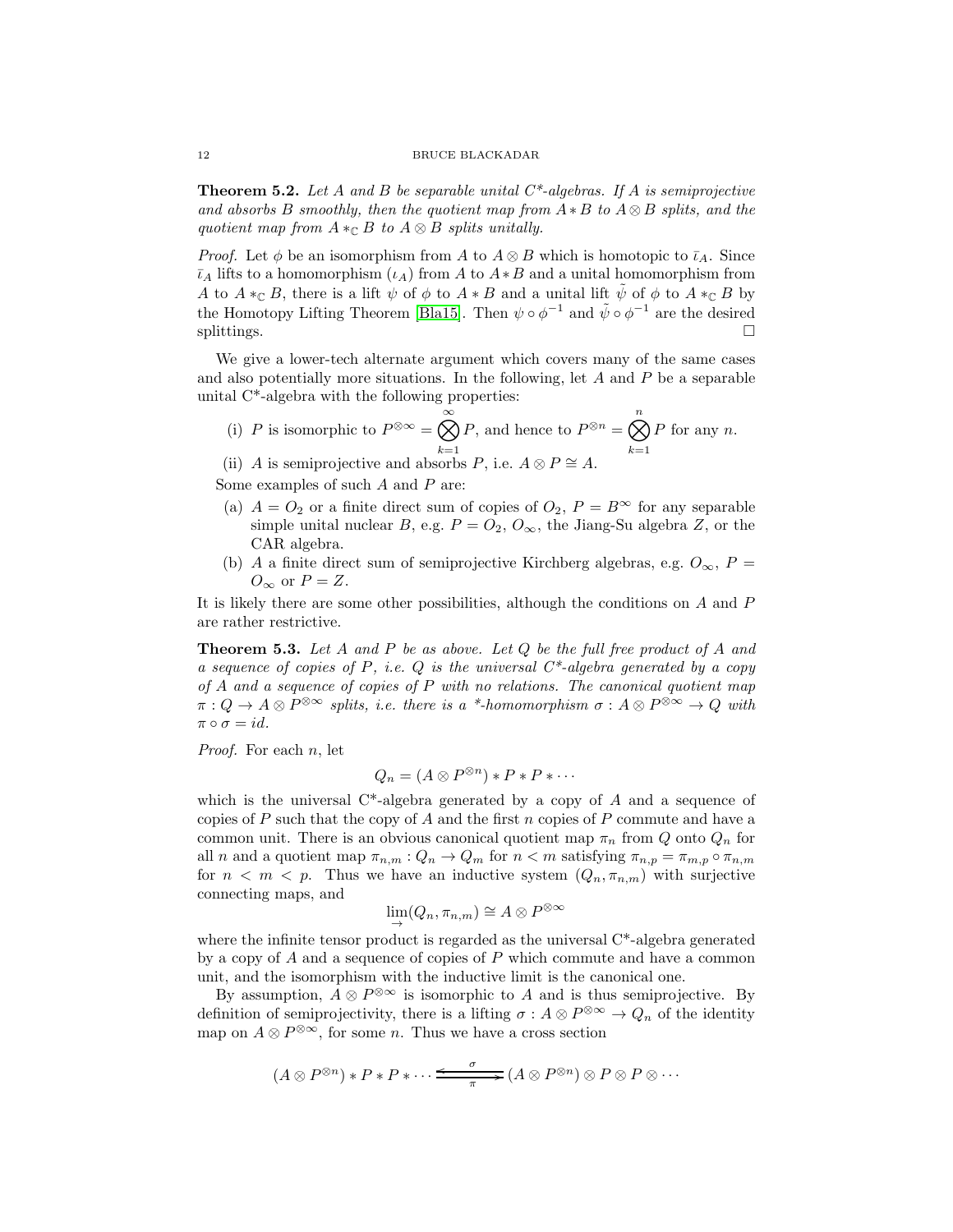<span id="page-11-0"></span>**Theorem 5.2.** Let A and B be separable unital  $C^*$ -algebras. If A is semiprojective and absorbs B smoothly, then the quotient map from  $A * B$  to  $A \otimes B$  splits, and the quotient map from  $A \ast_{\mathbb{C}} B$  to  $A \otimes B$  splits unitally.

*Proof.* Let  $\phi$  be an isomorphism from A to  $A \otimes B$  which is homotopic to  $\bar{\iota}_A$ . Since  $\bar{\iota}_A$  lifts to a homomorphism  $(\iota_A)$  from A to  $A * B$  and a unital homomorphism from A to  $A *_{\mathbb{C}} B$ , there is a lift  $\psi$  of  $\phi$  to  $A * B$  and a unital lift  $\tilde{\psi}$  of  $\phi$  to  $A *_{\mathbb{C}} B$  by the Homotopy Lifting Theorem [\[Bla15\]](#page-13-6). Then  $\psi \circ \phi^{-1}$  and  $\tilde{\psi} \circ \phi^{-1}$  are the desired splittings.  $\Box$ 

We give a lower-tech alternate argument which covers many of the same cases and also potentially more situations. In the following, let A and P be a separable unital C\*-algebra with the following properties:

(i) P is isomorphic to  $P^{\otimes \infty} = \bigotimes^{\infty}$  $k=1$ P, and hence to  $P^{\otimes n} = \bigotimes^n$  $k=1$  $P$  for any  $n$ .

(ii) A is semiprojective and absorbs P, i.e.  $A \otimes P \cong A$ .

Some examples of such A and P are:

- (a)  $A = O_2$  or a finite direct sum of copies of  $O_2$ ,  $P = B^{\infty}$  for any separable simple unital nuclear B, e.g.  $P = O_2$ ,  $O_{\infty}$ , the Jiang-Su algebra Z, or the CAR algebra.
- (b) A a finite direct sum of semiprojective Kirchberg algebras, e.g.  $O_{\infty}$ ,  $P =$  $O_{\infty}$  or  $P = Z$ .

It is likely there are some other possibilities, although the conditions on A and P are rather restrictive.

<span id="page-11-1"></span>**Theorem 5.3.** Let A and P be as above. Let Q be the full free product of A and a sequence of copies of  $P$ , i.e.  $Q$  is the universal  $C^*$ -algebra generated by a copy of A and a sequence of copies of P with no relations. The canonical quotient map  $\pi: Q \to A \otimes P^{\otimes \infty}$  splits, i.e. there is a \*-homomorphism  $\sigma: A \otimes P^{\otimes \infty} \to Q$  with  $\pi \circ \sigma = id.$ 

Proof. For each n, let

$$
Q_n = (A \otimes P^{\otimes n}) * P * P * \cdots
$$

which is the universal  $C^*$ -algebra generated by a copy of A and a sequence of copies of  $P$  such that the copy of  $A$  and the first  $n$  copies of  $P$  commute and have a common unit. There is an obvious canonical quotient map  $\pi_n$  from Q onto  $Q_n$  for all n and a quotient map  $\pi_{n,m}: Q_n \to Q_m$  for  $n < m$  satisfying  $\pi_{n,p} = \pi_{m,p} \circ \pi_{n,m}$ for  $n < m < p$ . Thus we have an inductive system  $(Q_n, \pi_{n,m})$  with surjective connecting maps, and

$$
\lim_{\rightarrow} (Q_n, \pi_{n,m}) \cong A \otimes P^{\otimes \infty}
$$

where the infinite tensor product is regarded as the universal C\*-algebra generated by a copy of  $A$  and a sequence of copies of  $P$  which commute and have a common unit, and the isomorphism with the inductive limit is the canonical one.

By assumption,  $A \otimes P^{\otimes \infty}$  is isomorphic to A and is thus semiprojective. By definition of semiprojectivity, there is a lifting  $\sigma: A \otimes P^{\otimes \infty} \to Q_n$  of the identity map on  $A \otimes P^{\otimes \infty}$ , for some *n*. Thus we have a cross section

$$
(A \otimes P^{\otimes n}) * P * P * \cdots \xrightarrow{\sigma} (A \otimes P^{\otimes n}) \otimes P \otimes P \otimes \cdots
$$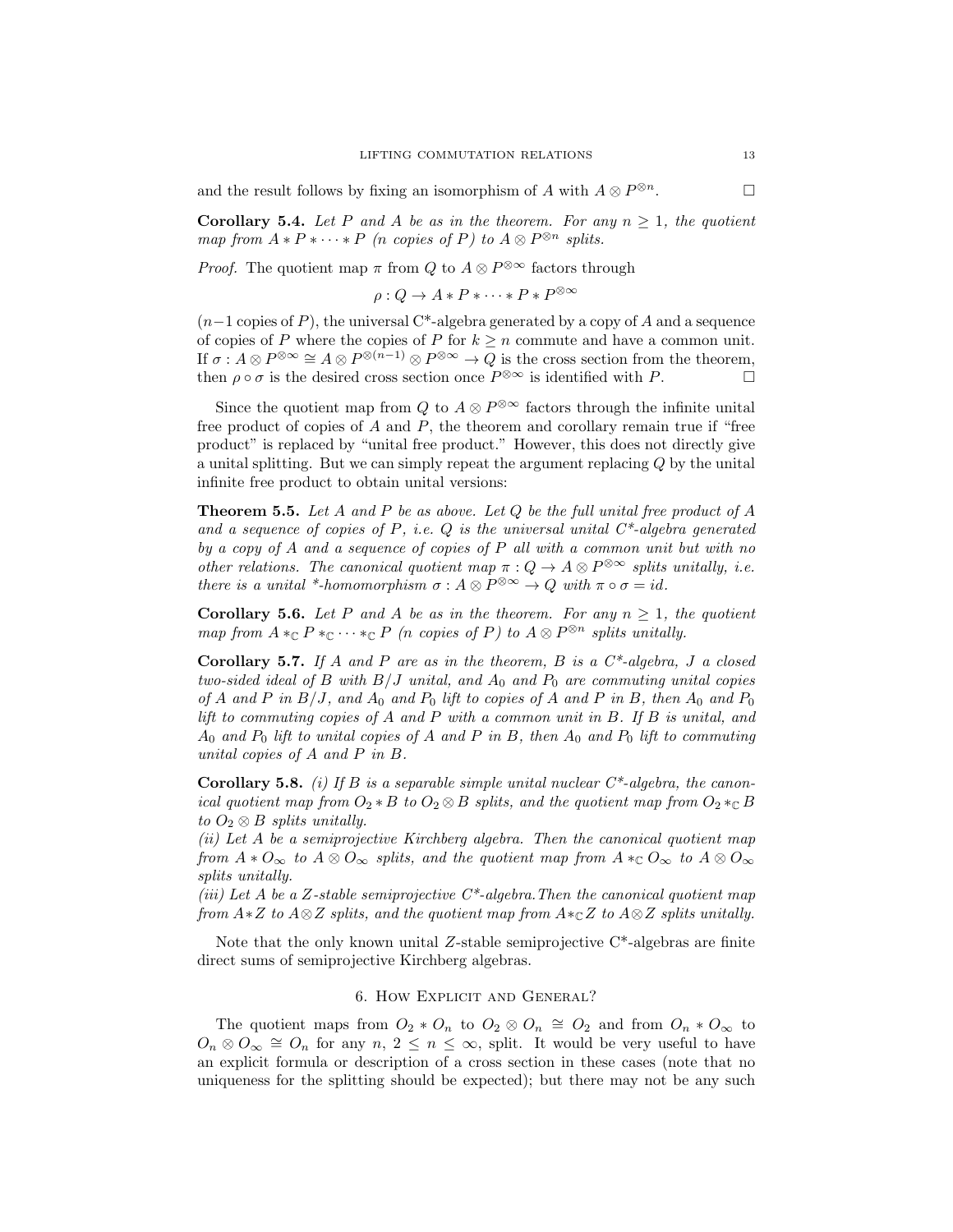and the result follows by fixing an isomorphism of A with  $A \otimes P^{\otimes n}$ .

**Corollary 5.4.** Let P and A be as in the theorem. For any  $n \geq 1$ , the quotient map from  $A * P * \cdots * P$  (n copies of P) to  $A \otimes P^{\otimes n}$  splits.

*Proof.* The quotient map  $\pi$  from Q to  $A \otimes P^{\otimes \infty}$  factors through

$$
\rho: Q \to A * P * \cdots * P * P^{\otimes \infty}
$$

 $(n-1)$  copies of P), the universal C<sup>\*</sup>-algebra generated by a copy of A and a sequence of copies of P where the copies of P for  $k \geq n$  commute and have a common unit. If  $\sigma: A \otimes P^{\otimes \infty} \cong A \otimes P^{\otimes (n-1)} \otimes P^{\otimes \infty} \to Q$  is the cross section from the theorem, then  $\rho \circ \sigma$  is the desired cross section once  $P^{\otimes \infty}$  is identified with P.

Since the quotient map from Q to  $A \otimes P^{\otimes \infty}$  factors through the infinite unital free product of copies of  $A$  and  $P$ , the theorem and corollary remain true if "free product" is replaced by "unital free product." However, this does not directly give a unital splitting. But we can simply repeat the argument replacing Q by the unital infinite free product to obtain unital versions:

**Theorem 5.5.** Let A and P be as above. Let  $Q$  be the full unital free product of A and a sequence of copies of P, i.e.  $Q$  is the universal unital  $C^*$ -algebra generated by a copy of  $A$  and a sequence of copies of  $P$  all with a common unit but with no other relations. The canonical quotient map  $\pi: Q \to A \otimes P^{\otimes \infty}$  splits unitally, i.e. there is a unital \*-homomorphism  $\sigma : A \otimes P^{\otimes \infty} \to Q$  with  $\pi \circ \sigma = id$ .

**Corollary 5.6.** Let P and A be as in the theorem. For any  $n \geq 1$ , the quotient map from  $A *_{\mathbb{C}} P *_{\mathbb{C}} \cdots *_{\mathbb{C}} P$  (n copies of P) to  $A \otimes P^{\otimes n}$  splits unitally.

**Corollary 5.7.** If A and P are as in the theorem, B is a  $C^*$ -algebra, J a closed two-sided ideal of B with  $B/J$  unital, and  $A_0$  and  $P_0$  are commuting unital copies of A and P in  $B/J$ , and  $A_0$  and  $P_0$  lift to copies of A and P in B, then  $A_0$  and  $P_0$ lift to commuting copies of  $A$  and  $P$  with a common unit in  $B$ . If  $B$  is unital, and  $A_0$  and  $P_0$  lift to unital copies of A and P in B, then  $A_0$  and  $P_0$  lift to commuting unital copies of A and P in B.

<span id="page-12-0"></span>**Corollary 5.8.** (i) If B is a separable simple unital nuclear  $C^*$ -algebra, the canonical quotient map from  $O_2 * B$  to  $O_2 \otimes B$  splits, and the quotient map from  $O_2 *_{\mathbb{C}} B$ to  $O_2 \otimes B$  splits unitally.

(ii) Let A be a semiprojective Kirchberg algebra. Then the canonical quotient map from  $A * O_{\infty}$  to  $A \otimes O_{\infty}$  splits, and the quotient map from  $A *_{\mathbb{C}} O_{\infty}$  to  $A \otimes O_{\infty}$ splits unitally.

(iii) Let A be a Z-stable semiprojective  $C^*$ -algebra. Then the canonical quotient map from  $A*Z$  to  $A\otimes Z$  splits, and the quotient map from  $A*\mathcal{Z}$  to  $A\otimes Z$  splits unitally.

Note that the only known unital  $Z$ -stable semiprojective  $C^*$ -algebras are finite direct sums of semiprojective Kirchberg algebras.

### 6. How Explicit and General?

The quotient maps from  $O_2 * O_n$  to  $O_2 \otimes O_n \cong O_2$  and from  $O_n * O_{\infty}$  to  $O_n \otimes O_\infty \cong O_n$  for any  $n, 2 \leq n \leq \infty$ , split. It would be very useful to have an explicit formula or description of a cross section in these cases (note that no uniqueness for the splitting should be expected); but there may not be any such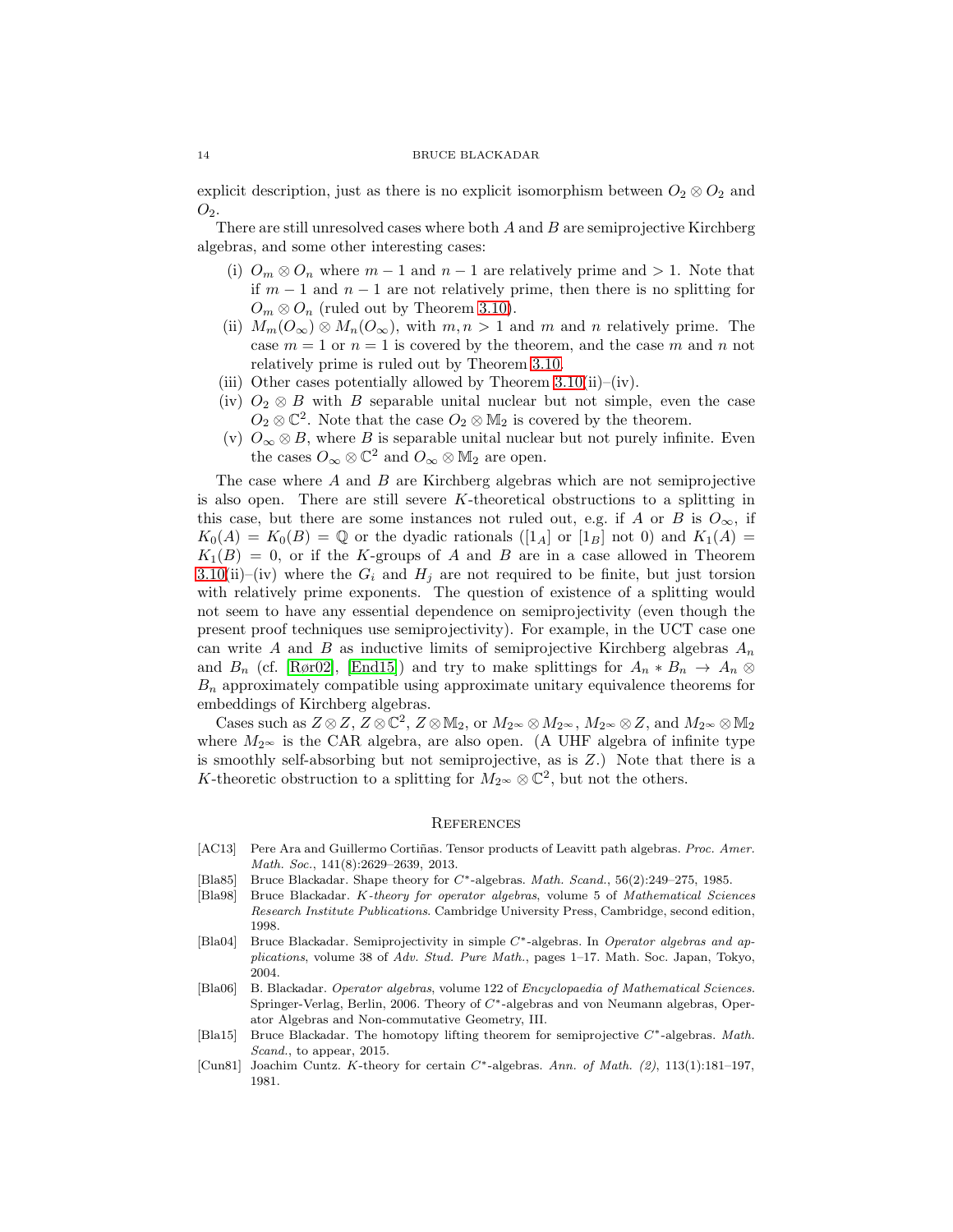explicit description, just as there is no explicit isomorphism between  $O_2 \otimes O_2$  and  $O_2$ .

There are still unresolved cases where both  $A$  and  $B$  are semiprojective Kirchberg algebras, and some other interesting cases:

- (i)  $O_m \otimes O_n$  where  $m-1$  and  $n-1$  are relatively prime and  $> 1$ . Note that if  $m-1$  and  $n-1$  are not relatively prime, then there is no splitting for  $O_m \otimes O_n$  (ruled out by Theorem [3.10\)](#page-8-0).
- (ii)  $M_m(O_\infty) \otimes M_n(O_\infty)$ , with  $m, n > 1$  and m and n relatively prime. The case  $m = 1$  or  $n = 1$  is covered by the theorem, and the case m and n not relatively prime is ruled out by Theorem [3.10.](#page-8-0)
- (iii) Other cases potentially allowed by Theorem  $3.10(ii)$ –(iv).
- (iv)  $O_2 \otimes B$  with B separable unital nuclear but not simple, even the case  $O_2 \otimes \mathbb{C}^2$ . Note that the case  $O_2 \otimes M_2$  is covered by the theorem.
- (v)  $O_{\infty} \otimes B$ , where B is separable unital nuclear but not purely infinite. Even the cases  $O_{\infty} \otimes \mathbb{C}^2$  and  $O_{\infty} \otimes \mathbb{M}_2$  are open.

The case where  $A$  and  $B$  are Kirchberg algebras which are not semiprojective is also open. There are still severe K-theoretical obstructions to a splitting in this case, but there are some instances not ruled out, e.g. if A or B is  $O_{\infty}$ , if  $K_0(A) = K_0(B) = \mathbb{Q}$  or the dyadic rationals ([1<sub>A</sub>] or [1<sub>B</sub>] not 0) and  $K_1(A) =$  $K_1(B) = 0$ , or if the K-groups of A and B are in a case allowed in Theorem [3.10\(](#page-8-0)ii)–(iv) where the  $G_i$  and  $H_j$  are not required to be finite, but just torsion with relatively prime exponents. The question of existence of a splitting would not seem to have any essential dependence on semiprojectivity (even though the present proof techniques use semiprojectivity). For example, in the UCT case one can write A and B as inductive limits of semiprojective Kirchberg algebras  $A_n$ and  $B_n$  (cf. [\[Rør02\]](#page-14-8), [\[End15\]](#page-14-11)) and try to make splittings for  $A_n * B_n \to A_n \otimes$  $B_n$  approximately compatible using approximate unitary equivalence theorems for embeddings of Kirchberg algebras.

Cases such as  $Z \otimes Z$ ,  $Z \otimes \mathbb{C}^2$ ,  $Z \otimes M_2$ , or  $M_2 \otimes M_2 \otimes$ ,  $M_2 \otimes \otimes Z$ , and  $M_2 \otimes \otimes M_2$ where  $M_{2^{\infty}}$  is the CAR algebra, are also open. (A UHF algebra of infinite type is smoothly self-absorbing but not semiprojective, as is Z.) Note that there is a K-theoretic obstruction to a splitting for  $M_{2} \otimes \mathbb{C}^{2}$ , but not the others.

#### **REFERENCES**

- <span id="page-13-3"></span>[AC13] Pere Ara and Guillermo Cortiñas. Tensor products of Leavitt path algebras. Proc. Amer. Math. Soc., 141(8):2629–2639, 2013.
- <span id="page-13-1"></span>[Bla85] Bruce Blackadar. Shape theory for C∗-algebras. Math. Scand., 56(2):249–275, 1985.
- <span id="page-13-2"></span>[Bla98] Bruce Blackadar. K-theory for operator algebras, volume 5 of Mathematical Sciences Research Institute Publications. Cambridge University Press, Cambridge, second edition, 1998.
- <span id="page-13-4"></span>[Bla04] Bruce Blackadar. Semiprojectivity in simple C<sup>∗</sup>-algebras. In Operator algebras and applications, volume 38 of Adv. Stud. Pure Math., pages 1–17. Math. Soc. Japan, Tokyo, 2004.
- <span id="page-13-0"></span>[Bla06] B. Blackadar. Operator algebras, volume 122 of Encyclopaedia of Mathematical Sciences. Springer-Verlag, Berlin, 2006. Theory of C∗-algebras and von Neumann algebras, Operator Algebras and Non-commutative Geometry, III.
- <span id="page-13-6"></span>[Bla15] Bruce Blackadar. The homotopy lifting theorem for semiprojective C<sup>∗</sup>-algebras. Math. Scand., to appear, 2015.
- <span id="page-13-5"></span>[Cun81] Joachim Cuntz. K-theory for certain  $C^*$ -algebras. Ann. of Math. (2), 113(1):181–197, 1981.